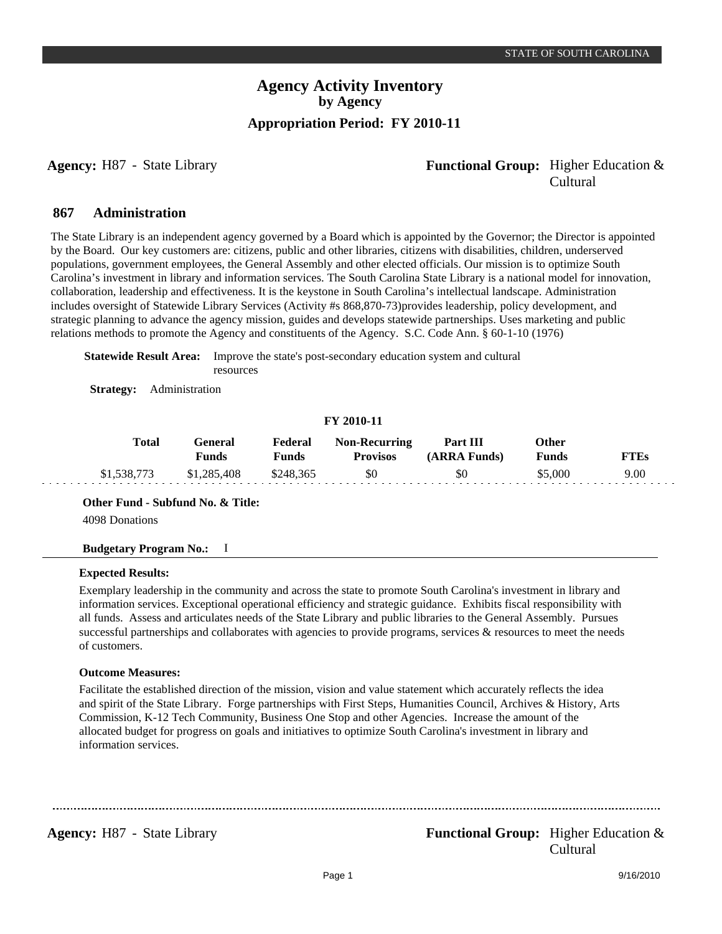## **Agency:** H87 - State Library **- Agency: Functional Group:** Higher Education & Cultural

#### **Administration 867**

The State Library is an independent agency governed by a Board which is appointed by the Governor; the Director is appointed by the Board. Our key customers are: citizens, public and other libraries, citizens with disabilities, children, underserved populations, government employees, the General Assembly and other elected officials. Our mission is to optimize South Carolina's investment in library and information services. The South Carolina State Library is a national model for innovation, collaboration, leadership and effectiveness. It is the keystone in South Carolina's intellectual landscape. Administration includes oversight of Statewide Library Services (Activity #s 868,870-73)provides leadership, policy development, and strategic planning to advance the agency mission, guides and develops statewide partnerships. Uses marketing and public relations methods to promote the Agency and constituents of the Agency. S.C. Code Ann. § 60-1-10 (1976)

**Statewide Result Area:** Improve the state's post-secondary education system and cultural resources

**Strategy:** Administration

### **FY 2010-11**

| Total       | <del>l</del> eneral<br>Funds | Federal<br><b>Funds</b> | <b>Non-Recurring</b><br><b>Provisos</b> | Part III<br>(ARRA Funds) | Other<br>Funds | TEs " |
|-------------|------------------------------|-------------------------|-----------------------------------------|--------------------------|----------------|-------|
| \$1,538,773 | \$1,285,408                  | \$248,365               | \$0                                     | \$0                      | 55.000         | 9.00  |

**Other Fund - Subfund No. & Title:**

4098 Donations

#### **Budgetary Program No.:** I

#### **Expected Results:**

Exemplary leadership in the community and across the state to promote South Carolina's investment in library and information services. Exceptional operational efficiency and strategic guidance. Exhibits fiscal responsibility with all funds. Assess and articulates needs of the State Library and public libraries to the General Assembly. Pursues successful partnerships and collaborates with agencies to provide programs, services  $\&$  resources to meet the needs of customers.

#### **Outcome Measures:**

Facilitate the established direction of the mission, vision and value statement which accurately reflects the idea and spirit of the State Library. Forge partnerships with First Steps, Humanities Council, Archives & History, Arts Commission, K-12 Tech Community, Business One Stop and other Agencies. Increase the amount of the allocated budget for progress on goals and initiatives to optimize South Carolina's investment in library and information services.

...................................

## **Agency:** H87 - State Library **- Agency: Functional Group:** Higher Education & Cultural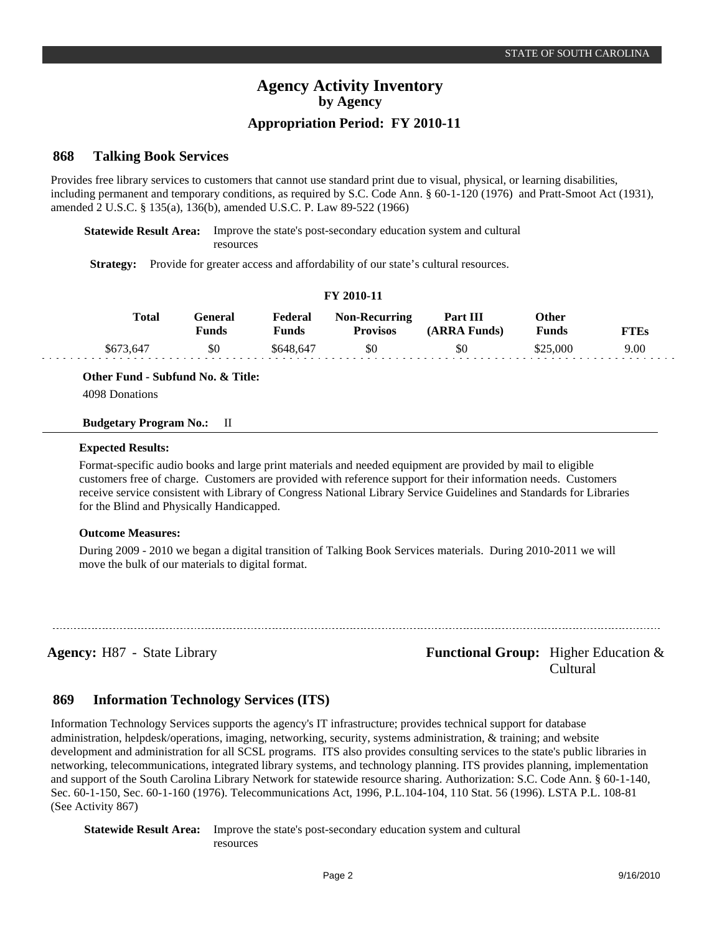## **Appropriation Period: FY 2010-11**

#### **Talking Book Services 868**

Provides free library services to customers that cannot use standard print due to visual, physical, or learning disabilities, including permanent and temporary conditions, as required by S.C. Code Ann. § 60-1-120 (1976) and Pratt-Smoot Act (1931), amended 2 U.S.C. § 135(a), 136(b), amended U.S.C. P. Law 89-522 (1966)

**Statewide Result Area:** Improve the state's post-secondary education system and cultural

resources

**Strategy:** Provide for greater access and affordability of our state's cultural resources.

### **FY 2010-11**

| <b>Total</b> | l -eneral<br>Funds | Federal<br>Funds | <b>Non-Recurring</b><br><b>Provisos</b> | Part III<br>(ARRA Funds) | Other<br><b>Funds</b> | FTEs |
|--------------|--------------------|------------------|-----------------------------------------|--------------------------|-----------------------|------|
| \$673,647    | \$0                | \$648,647        | \$0                                     | \$0                      | \$25,000              | 9.00 |

**Other Fund - Subfund No. & Title:**

4098 Donations

#### **Budgetary Program No.:** II

#### **Expected Results:**

Format-specific audio books and large print materials and needed equipment are provided by mail to eligible customers free of charge. Customers are provided with reference support for their information needs. Customers receive service consistent with Library of Congress National Library Service Guidelines and Standards for Libraries for the Blind and Physically Handicapped.

### **Outcome Measures:**

During 2009 - 2010 we began a digital transition of Talking Book Services materials. During 2010-2011 we will move the bulk of our materials to digital format.

**Agency:** H87 - State Library **- Equal Functional Group:** Higher Education & Cultural

#### **Information Technology Services (ITS) 869**

Information Technology Services supports the agency's IT infrastructure; provides technical support for database administration, helpdesk/operations, imaging, networking, security, systems administration, & training; and website development and administration for all SCSL programs. ITS also provides consulting services to the state's public libraries in networking, telecommunications, integrated library systems, and technology planning. ITS provides planning, implementation and support of the South Carolina Library Network for statewide resource sharing. Authorization: S.C. Code Ann. § 60-1-140, Sec. 60-1-150, Sec. 60-1-160 (1976). Telecommunications Act, 1996, P.L.104-104, 110 Stat. 56 (1996). LSTA P.L. 108-81 (See Activity 867)

**Statewide Result Area:** Improve the state's post-secondary education system and cultural resources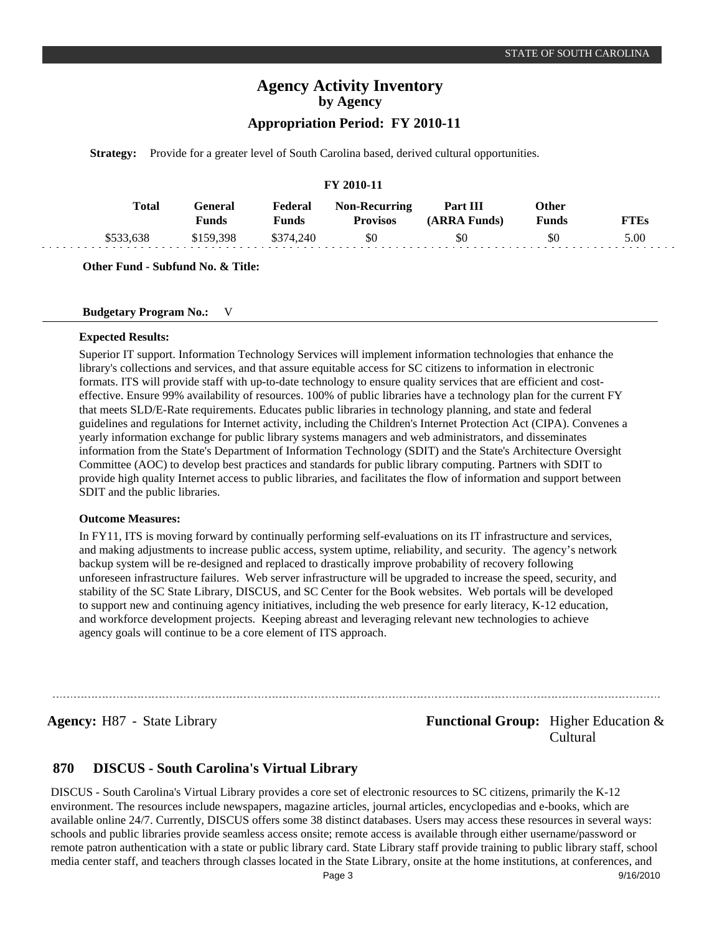## **Appropriation Period: FY 2010-11**

**Strategy:** Provide for a greater level of South Carolina based, derived cultural opportunities.

#### **FY 2010-11**

| <b>Total</b> | l -eneral<br>Funds | Federal<br>$F$ unds | <b>Non-Recurring</b><br>Provisos | Part III<br>(ARRA Funds) | <b>Other</b><br><b>Funds</b> | FTEs |
|--------------|--------------------|---------------------|----------------------------------|--------------------------|------------------------------|------|
|              | \$159,398          | \$374,240           | \$0                              | \$0                      | \$0                          | 5.00 |

**Other Fund - Subfund No. & Title:**

### **Budgetary Program No.:** V

#### **Expected Results:**

Superior IT support. Information Technology Services will implement information technologies that enhance the library's collections and services, and that assure equitable access for SC citizens to information in electronic formats. ITS will provide staff with up-to-date technology to ensure quality services that are efficient and costeffective. Ensure 99% availability of resources. 100% of public libraries have a technology plan for the current FY that meets SLD/E-Rate requirements. Educates public libraries in technology planning, and state and federal guidelines and regulations for Internet activity, including the Children's Internet Protection Act (CIPA). Convenes a yearly information exchange for public library systems managers and web administrators, and disseminates information from the State's Department of Information Technology (SDIT) and the State's Architecture Oversight Committee (AOC) to develop best practices and standards for public library computing. Partners with SDIT to provide high quality Internet access to public libraries, and facilitates the flow of information and support between SDIT and the public libraries.

#### **Outcome Measures:**

In FY11, ITS is moving forward by continually performing self-evaluations on its IT infrastructure and services, and making adjustments to increase public access, system uptime, reliability, and security. The agency's network backup system will be re-designed and replaced to drastically improve probability of recovery following unforeseen infrastructure failures. Web server infrastructure will be upgraded to increase the speed, security, and stability of the SC State Library, DISCUS, and SC Center for the Book websites. Web portals will be developed to support new and continuing agency initiatives, including the web presence for early literacy, K-12 education, and workforce development projects. Keeping abreast and leveraging relevant new technologies to achieve agency goals will continue to be a core element of ITS approach.

**Agency:** H87 - State Library **- Equal Functional Group:** Higher Education & Cultural

#### **DISCUS - South Carolina's Virtual Library 870**

DISCUS - South Carolina's Virtual Library provides a core set of electronic resources to SC citizens, primarily the K-12 environment. The resources include newspapers, magazine articles, journal articles, encyclopedias and e-books, which are available online 24/7. Currently, DISCUS offers some 38 distinct databases. Users may access these resources in several ways: schools and public libraries provide seamless access onsite; remote access is available through either username/password or remote patron authentication with a state or public library card. State Library staff provide training to public library staff, school media center staff, and teachers through classes located in the State Library, onsite at the home institutions, at conferences, and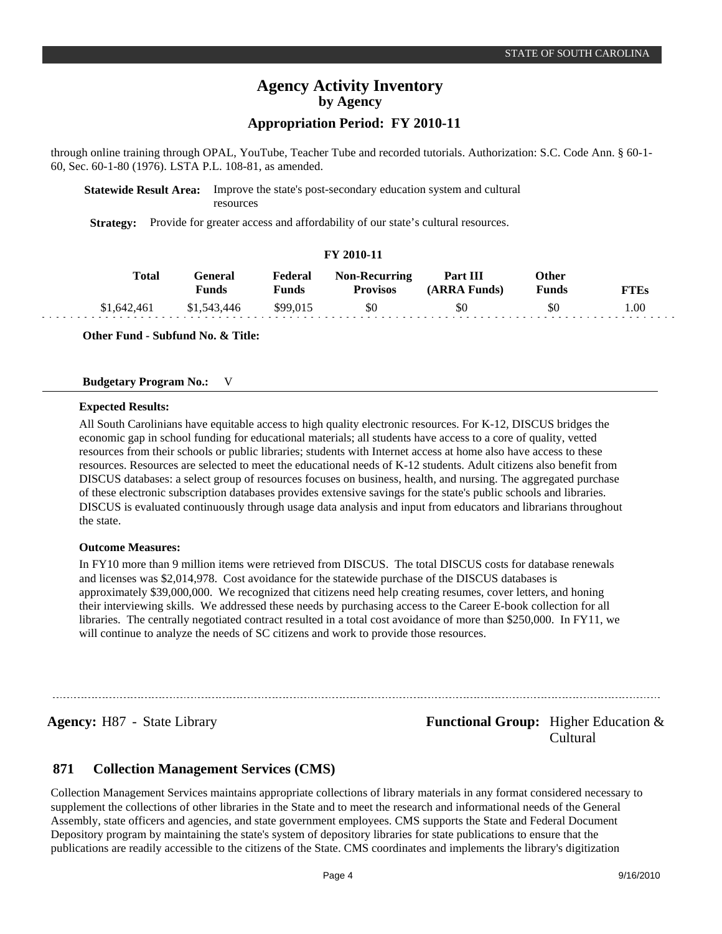## **Appropriation Period: FY 2010-11**

through online training through OPAL, YouTube, Teacher Tube and recorded tutorials. Authorization: S.C. Code Ann. § 60-1- 60, Sec. 60-1-80 (1976). LSTA P.L. 108-81, as amended.

### **Statewide Result Area:** Improve the state's post-secondary education system and cultural resources

**Strategy:** Provide for greater access and affordability of our state's cultural resources.

### **FY 2010-11**

| Total       | General<br>Funds. | Federal<br><b>Funds</b> | <b>Non-Recurring</b><br><b>Provisos</b> | <b>Part III</b><br>(ARRA Funds) | Other<br><b>Funds</b> | FTEs |
|-------------|-------------------|-------------------------|-----------------------------------------|---------------------------------|-----------------------|------|
| \$1,642,461 | \$1,543,446       | \$99,015                | \$0                                     | \$0                             | \$0                   | 1.00 |

**Other Fund - Subfund No. & Title:**

#### **Budgetary Program No.:** V

#### **Expected Results:**

All South Carolinians have equitable access to high quality electronic resources. For K-12, DISCUS bridges the economic gap in school funding for educational materials; all students have access to a core of quality, vetted resources from their schools or public libraries; students with Internet access at home also have access to these resources. Resources are selected to meet the educational needs of K-12 students. Adult citizens also benefit from DISCUS databases: a select group of resources focuses on business, health, and nursing. The aggregated purchase of these electronic subscription databases provides extensive savings for the state's public schools and libraries. DISCUS is evaluated continuously through usage data analysis and input from educators and librarians throughout the state.

#### **Outcome Measures:**

In FY10 more than 9 million items were retrieved from DISCUS. The total DISCUS costs for database renewals and licenses was \$2,014,978. Cost avoidance for the statewide purchase of the DISCUS databases is approximately \$39,000,000. We recognized that citizens need help creating resumes, cover letters, and honing their interviewing skills. We addressed these needs by purchasing access to the Career E-book collection for all libraries. The centrally negotiated contract resulted in a total cost avoidance of more than \$250,000. In FY11, we will continue to analyze the needs of SC citizens and work to provide those resources.

**Agency:** H87 - State Library **- Agency: Functional Group:** Higher Education & Cultural

#### **Collection Management Services (CMS) 871**

Collection Management Services maintains appropriate collections of library materials in any format considered necessary to supplement the collections of other libraries in the State and to meet the research and informational needs of the General Assembly, state officers and agencies, and state government employees. CMS supports the State and Federal Document Depository program by maintaining the state's system of depository libraries for state publications to ensure that the publications are readily accessible to the citizens of the State. CMS coordinates and implements the library's digitization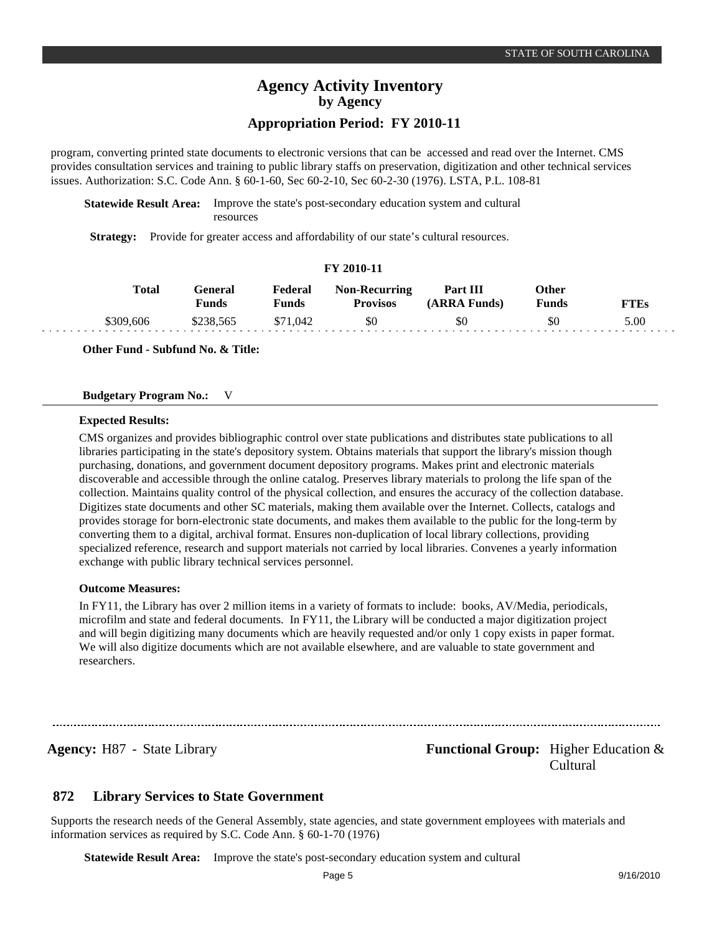## **Appropriation Period: FY 2010-11**

program, converting printed state documents to electronic versions that can be accessed and read over the Internet. CMS provides consultation services and training to public library staffs on preservation, digitization and other technical services issues. Authorization: S.C. Code Ann. § 60-1-60, Sec 60-2-10, Sec 60-2-30 (1976). LSTA, P.L. 108-81

**Statewide Result Area:** Improve the state's post-secondary education system and cultural resources

**Strategy:** Provide for greater access and affordability of our state's cultural resources.

### **FY 2010-11**

| Total     | General<br>Funds | Federal<br>Funds | <b>Non-Recurring</b><br><b>Provisos</b> | Part III<br>(ARRA Funds) | Other<br>Funds | FTEs |
|-----------|------------------|------------------|-----------------------------------------|--------------------------|----------------|------|
| \$309,606 | \$238.565        | \$71.042         | \$0                                     |                          | \$0            | 5.00 |

**Other Fund - Subfund No. & Title:**

#### **Budgetary Program No.:** V

#### **Expected Results:**

CMS organizes and provides bibliographic control over state publications and distributes state publications to all libraries participating in the state's depository system. Obtains materials that support the library's mission though purchasing, donations, and government document depository programs. Makes print and electronic materials discoverable and accessible through the online catalog. Preserves library materials to prolong the life span of the collection. Maintains quality control of the physical collection, and ensures the accuracy of the collection database. Digitizes state documents and other SC materials, making them available over the Internet. Collects, catalogs and provides storage for born-electronic state documents, and makes them available to the public for the long-term by converting them to a digital, archival format. Ensures non-duplication of local library collections, providing specialized reference, research and support materials not carried by local libraries. Convenes a yearly information exchange with public library technical services personnel.

#### **Outcome Measures:**

In FY11, the Library has over 2 million items in a variety of formats to include: books, AV/Media, periodicals, microfilm and state and federal documents. In FY11, the Library will be conducted a major digitization project and will begin digitizing many documents which are heavily requested and/or only 1 copy exists in paper format. We will also digitize documents which are not available elsewhere, and are valuable to state government and researchers.

**Agency:** H87 - State Library **- Agency: Functional Group:** Higher Education & Cultural

#### **Library Services to State Government 872**

Supports the research needs of the General Assembly, state agencies, and state government employees with materials and information services as required by S.C. Code Ann. § 60-1-70 (1976)

**Statewide Result Area:** Improve the state's post-secondary education system and cultural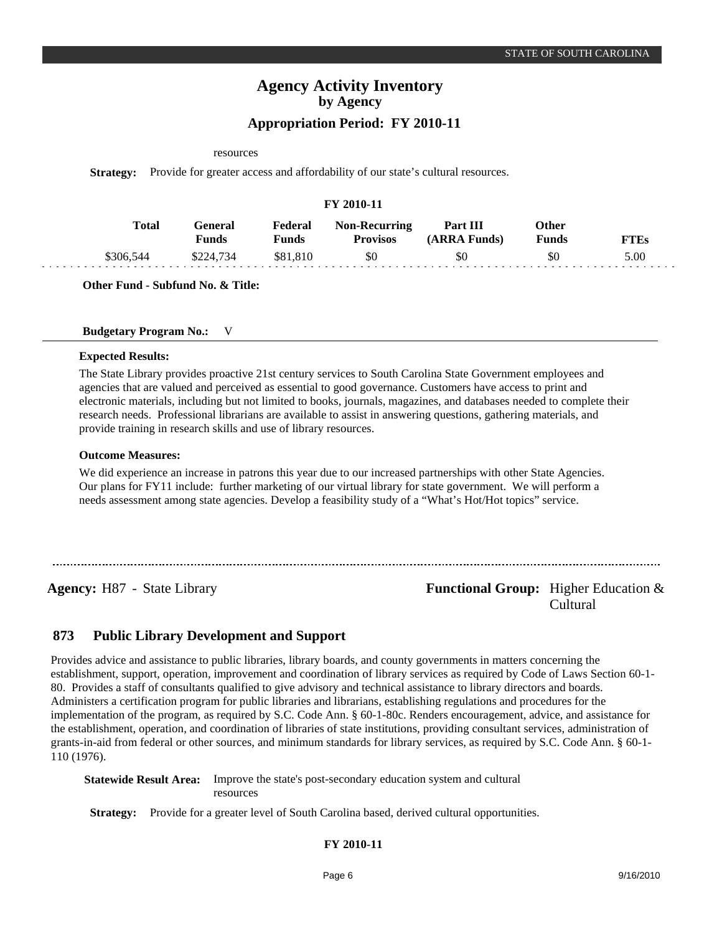#### resources

**Strategy:** Provide for greater access and affordability of our state's cultural resources.

| FY 2010-11 |           |                         |                  |                                         |                          |                              |             |  |  |
|------------|-----------|-------------------------|------------------|-----------------------------------------|--------------------------|------------------------------|-------------|--|--|
|            | Total     | General<br><b>Funds</b> | Federal<br>Funds | <b>Non-Recurring</b><br><b>Provisos</b> | Part III<br>(ARRA Funds) | <b>Other</b><br><b>Funds</b> | <b>FTEs</b> |  |  |
|            | \$306.544 | \$224,734               | \$81.810         | \$0                                     | \$0                      | \$0                          | 5.00        |  |  |

**Other Fund - Subfund No. & Title:**

### **Budgetary Program No.:** V

#### **Expected Results:**

The State Library provides proactive 21st century services to South Carolina State Government employees and agencies that are valued and perceived as essential to good governance. Customers have access to print and electronic materials, including but not limited to books, journals, magazines, and databases needed to complete their research needs. Professional librarians are available to assist in answering questions, gathering materials, and provide training in research skills and use of library resources.

#### **Outcome Measures:**

We did experience an increase in patrons this year due to our increased partnerships with other State Agencies. Our plans for FY11 include: further marketing of our virtual library for state government. We will perform a needs assessment among state agencies. Develop a feasibility study of a "What's Hot/Hot topics" service.

**Agency:** H87 - State Library **- Agency: Functional Group:** Higher Education & Cultural

#### **Public Library Development and Support 873**

Provides advice and assistance to public libraries, library boards, and county governments in matters concerning the establishment, support, operation, improvement and coordination of library services as required by Code of Laws Section 60-1- 80. Provides a staff of consultants qualified to give advisory and technical assistance to library directors and boards. Administers a certification program for public libraries and librarians, establishing regulations and procedures for the implementation of the program, as required by S.C. Code Ann. § 60-1-80c. Renders encouragement, advice, and assistance for the establishment, operation, and coordination of libraries of state institutions, providing consultant services, administration of grants-in-aid from federal or other sources, and minimum standards for library services, as required by S.C. Code Ann. § 60-1- 110 (1976).

**Statewide Result Area:** Improve the state's post-secondary education system and cultural resources

**Strategy:** Provide for a greater level of South Carolina based, derived cultural opportunities.

**FY 2010-11**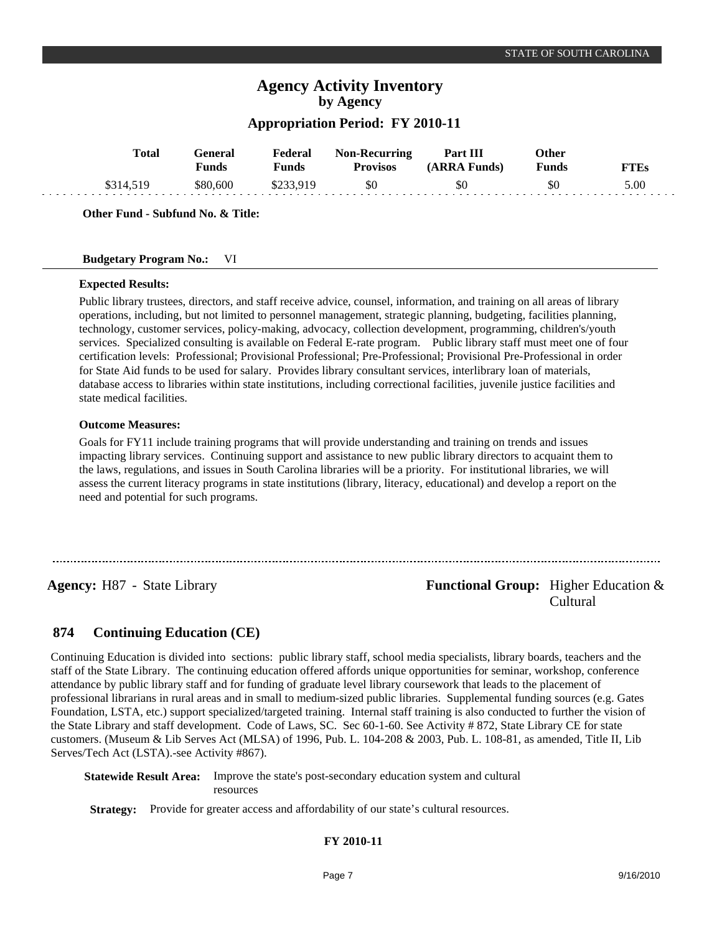## **Appropriation Period: FY 2010-11**

| <b>Total</b> | Fenera<br>'unds | Federal<br>Funds | <b>Non-Recurring</b><br><b>Provisos</b> | <b>Part III</b><br>Funds)<br>$\triangle$ R R $\triangle$ | Other<br>Funds | $T^{\mathbf{r}}\mathbf{F}$ |
|--------------|-----------------|------------------|-----------------------------------------|----------------------------------------------------------|----------------|----------------------------|
|              | 580.600         | Ψ⊷               | \$0                                     | \$0                                                      | ФU             | 5.00                       |

**Other Fund - Subfund No. & Title:**

### **Budgetary Program No.:** VI

### **Expected Results:**

Public library trustees, directors, and staff receive advice, counsel, information, and training on all areas of library operations, including, but not limited to personnel management, strategic planning, budgeting, facilities planning, technology, customer services, policy-making, advocacy, collection development, programming, children's/youth services. Specialized consulting is available on Federal E-rate program. Public library staff must meet one of four certification levels: Professional; Provisional Professional; Pre-Professional; Provisional Pre-Professional in order for State Aid funds to be used for salary. Provides library consultant services, interlibrary loan of materials, database access to libraries within state institutions, including correctional facilities, juvenile justice facilities and state medical facilities.

### **Outcome Measures:**

Goals for FY11 include training programs that will provide understanding and training on trends and issues impacting library services. Continuing support and assistance to new public library directors to acquaint them to the laws, regulations, and issues in South Carolina libraries will be a priority. For institutional libraries, we will assess the current literacy programs in state institutions (library, literacy, educational) and develop a report on the need and potential for such programs.

**Agency:** H87 - State Library **- Agency: Functional Group:** Higher Education & Cultural

#### **Continuing Education (CE) 874**

Continuing Education is divided into sections: public library staff, school media specialists, library boards, teachers and the staff of the State Library. The continuing education offered affords unique opportunities for seminar, workshop, conference attendance by public library staff and for funding of graduate level library coursework that leads to the placement of professional librarians in rural areas and in small to medium-sized public libraries. Supplemental funding sources (e.g. Gates Foundation, LSTA, etc.) support specialized/targeted training. Internal staff training is also conducted to further the vision of the State Library and staff development. Code of Laws, SC. Sec 60-1-60. See Activity # 872, State Library CE for state customers. (Museum & Lib Serves Act (MLSA) of 1996, Pub. L. 104-208 & 2003, Pub. L. 108-81, as amended, Title II, Lib Serves/Tech Act (LSTA).-see Activity #867).

**Statewide Result Area:** Improve the state's post-secondary education system and cultural resources

**Strategy:** Provide for greater access and affordability of our state's cultural resources.

### **FY 2010-11**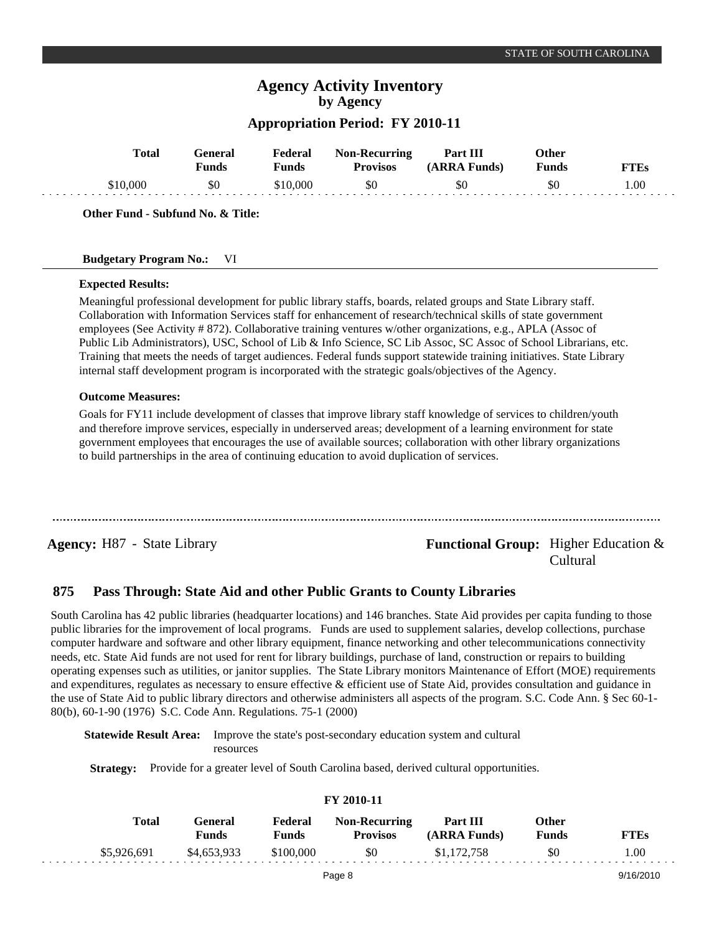## **Appropriation Period: FY 2010-11**

| <b>Total</b> | ÷eneral<br>$v_{\rm unds}$ | <b>Federal</b><br>Funds | <b>Non-Recurring</b><br><b>Provisos</b> | Part III<br>(ARRA Funds) | Other<br><b>Funds</b> |      |
|--------------|---------------------------|-------------------------|-----------------------------------------|--------------------------|-----------------------|------|
| \$10.000     | \$0                       | \$10.000                | \$0                                     | \$0                      | SC                    | .00. |

**Other Fund - Subfund No. & Title:**

### **Budgetary Program No.:** VI

#### **Expected Results:**

Meaningful professional development for public library staffs, boards, related groups and State Library staff. Collaboration with Information Services staff for enhancement of research/technical skills of state government employees (See Activity # 872). Collaborative training ventures w/other organizations, e.g., APLA (Assoc of Public Lib Administrators), USC, School of Lib & Info Science, SC Lib Assoc, SC Assoc of School Librarians, etc. Training that meets the needs of target audiences. Federal funds support statewide training initiatives. State Library internal staff development program is incorporated with the strategic goals/objectives of the Agency.

#### **Outcome Measures:**

Goals for FY11 include development of classes that improve library staff knowledge of services to children/youth and therefore improve services, especially in underserved areas; development of a learning environment for state government employees that encourages the use of available sources; collaboration with other library organizations to build partnerships in the area of continuing education to avoid duplication of services.

**Agency:** H87 - State Library **Functional Group:** Higher Education & Cultural

#### **Pass Through: State Aid and other Public Grants to County Libraries 875**

South Carolina has 42 public libraries (headquarter locations) and 146 branches. State Aid provides per capita funding to those public libraries for the improvement of local programs. Funds are used to supplement salaries, develop collections, purchase computer hardware and software and other library equipment, finance networking and other telecommunications connectivity needs, etc. State Aid funds are not used for rent for library buildings, purchase of land, construction or repairs to building operating expenses such as utilities, or janitor supplies. The State Library monitors Maintenance of Effort (MOE) requirements and expenditures, regulates as necessary to ensure effective & efficient use of State Aid, provides consultation and guidance in the use of State Aid to public library directors and otherwise administers all aspects of the program. S.C. Code Ann. § Sec 60-1- 80(b), 60-1-90 (1976) S.C. Code Ann. Regulations. 75-1 (2000)

**Statewide Result Area:** Improve the state's post-secondary education system and cultural resources

**Strategy:** Provide for a greater level of South Carolina based, derived cultural opportunities.

| FY 2010-11 |              |                  |                  |                                         |                          |                              |             |  |  |  |
|------------|--------------|------------------|------------------|-----------------------------------------|--------------------------|------------------------------|-------------|--|--|--|
|            | <b>Total</b> | General<br>Funds | Federal<br>Funds | <b>Non-Recurring</b><br><b>Provisos</b> | Part III<br>(ARRA Funds) | <b>Other</b><br><b>Funds</b> | <b>FTEs</b> |  |  |  |
|            | \$5,926,691  | \$4,653,933      | \$100,000        | \$0                                     | \$1,172,758              | \$0                          | 1.00        |  |  |  |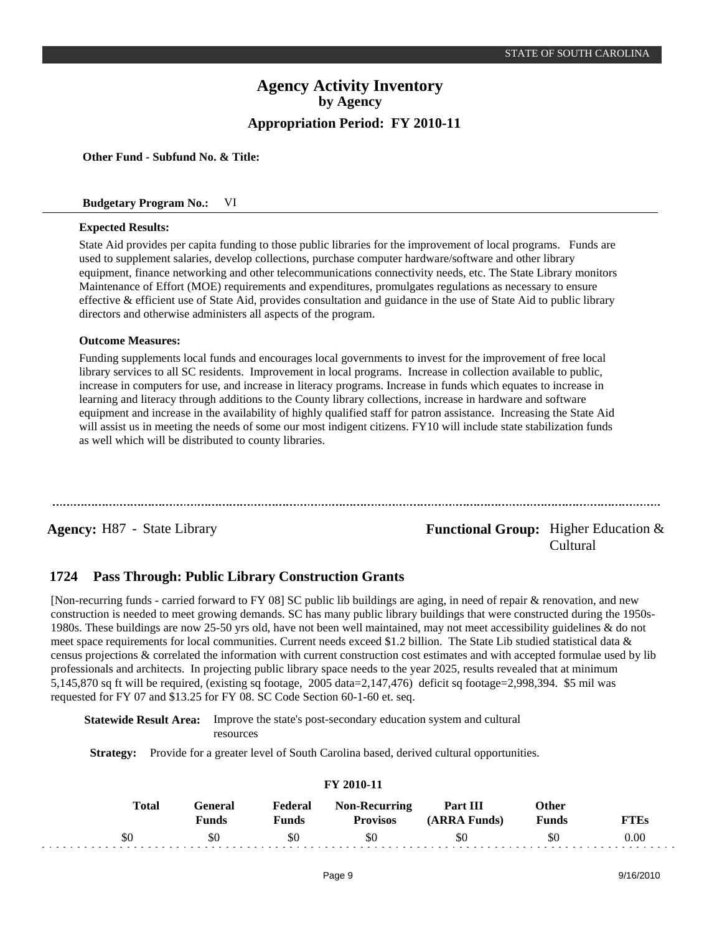**Other Fund - Subfund No. & Title:**

#### **Budgetary Program No.:** VI

#### **Expected Results:**

State Aid provides per capita funding to those public libraries for the improvement of local programs. Funds are used to supplement salaries, develop collections, purchase computer hardware/software and other library equipment, finance networking and other telecommunications connectivity needs, etc. The State Library monitors Maintenance of Effort (MOE) requirements and expenditures, promulgates regulations as necessary to ensure effective & efficient use of State Aid, provides consultation and guidance in the use of State Aid to public library directors and otherwise administers all aspects of the program.

#### **Outcome Measures:**

Funding supplements local funds and encourages local governments to invest for the improvement of free local library services to all SC residents. Improvement in local programs. Increase in collection available to public, increase in computers for use, and increase in literacy programs. Increase in funds which equates to increase in learning and literacy through additions to the County library collections, increase in hardware and software equipment and increase in the availability of highly qualified staff for patron assistance. Increasing the State Aid will assist us in meeting the needs of some our most indigent citizens. FY10 will include state stabilization funds as well which will be distributed to county libraries.

## **Agency:** H87 - State Library **- Agency: Functional Group:** Higher Education & Cultural

#### **Pass Through: Public Library Construction Grants 1724**

[Non-recurring funds - carried forward to FY 08] SC public lib buildings are aging, in need of repair & renovation, and new construction is needed to meet growing demands. SC has many public library buildings that were constructed during the 1950s-1980s. These buildings are now 25-50 yrs old, have not been well maintained, may not meet accessibility guidelines & do not meet space requirements for local communities. Current needs exceed \$1.2 billion. The State Lib studied statistical data & census projections & correlated the information with current construction cost estimates and with accepted formulae used by lib professionals and architects. In projecting public library space needs to the year 2025, results revealed that at minimum 5,145,870 sq ft will be required, (existing sq footage, 2005 data=2,147,476) deficit sq footage=2,998,394. \$5 mil was requested for FY 07 and \$13.25 for FY 08. SC Code Section 60-1-60 et. seq.

**Statewide Result Area:** Improve the state's post-secondary education system and cultural resources

**Strategy:** Provide for a greater level of South Carolina based, derived cultural opportunities.

| Total | General<br>Funds | Federal<br>Funds | <b>Non-Recurring</b><br><b>Provisos</b> | <b>Part III</b><br>(ARRA Funds) | Other<br>Funds | <b>TTEs</b> |
|-------|------------------|------------------|-----------------------------------------|---------------------------------|----------------|-------------|
| \$0   | \$0              | \$0              | \$0                                     | \$0                             | SC             | 0.00        |

**FY 2010-11**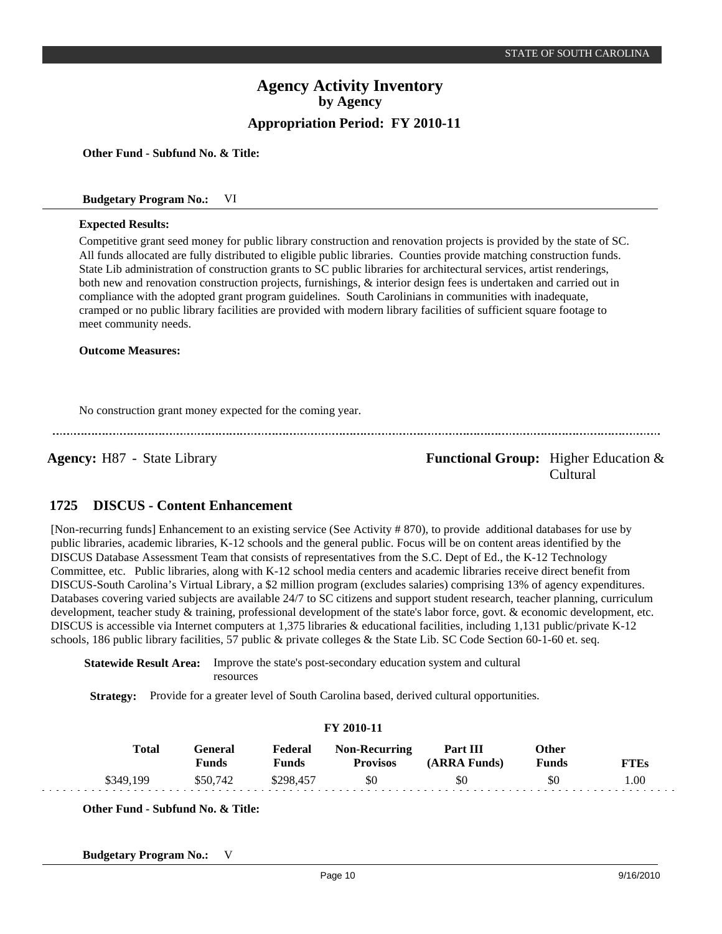**Other Fund - Subfund No. & Title:**

#### **Budgetary Program No.:** VI

#### **Expected Results:**

Competitive grant seed money for public library construction and renovation projects is provided by the state of SC. All funds allocated are fully distributed to eligible public libraries. Counties provide matching construction funds. State Lib administration of construction grants to SC public libraries for architectural services, artist renderings, both new and renovation construction projects, furnishings, & interior design fees is undertaken and carried out in compliance with the adopted grant program guidelines. South Carolinians in communities with inadequate, cramped or no public library facilities are provided with modern library facilities of sufficient square footage to meet community needs.

**Outcome Measures:**

No construction grant money expected for the coming year.

**Agency:** H87 - State Library **- Agency: Functional Group:** Higher Education & Cultural

#### **DISCUS - Content Enhancement 1725**

[Non-recurring funds] Enhancement to an existing service (See Activity # 870), to provide additional databases for use by public libraries, academic libraries, K-12 schools and the general public. Focus will be on content areas identified by the DISCUS Database Assessment Team that consists of representatives from the S.C. Dept of Ed., the K-12 Technology Committee, etc. Public libraries, along with K-12 school media centers and academic libraries receive direct benefit from DISCUS-South Carolina's Virtual Library, a \$2 million program (excludes salaries) comprising 13% of agency expenditures. Databases covering varied subjects are available 24/7 to SC citizens and support student research, teacher planning, curriculum development, teacher study & training, professional development of the state's labor force, govt. & economic development, etc. DISCUS is accessible via Internet computers at 1,375 libraries & educational facilities, including 1,131 public/private K-12 schools, 186 public library facilities, 57 public & private colleges & the State Lib. SC Code Section 60-1-60 et. seq.

**Statewide Result Area:** Improve the state's post-secondary education system and cultural resources

**Strategy:** Provide for a greater level of South Carolina based, derived cultural opportunities.

| FY 2010-11 |              |                  |                         |                                         |                                 |                              |             |  |  |  |
|------------|--------------|------------------|-------------------------|-----------------------------------------|---------------------------------|------------------------------|-------------|--|--|--|
|            | <b>Total</b> | General<br>Funds | Federal<br><b>Funds</b> | <b>Non-Recurring</b><br><b>Provisos</b> | <b>Part III</b><br>(ARRA Funds) | <b>Other</b><br><b>Funds</b> | <b>FTEs</b> |  |  |  |
|            | \$349,199    | \$50,742         | \$298,457               | \$0                                     | \$0                             | \$0                          | 1.00        |  |  |  |

**Other Fund - Subfund No. & Title:**

**Budgetary Program No.:** V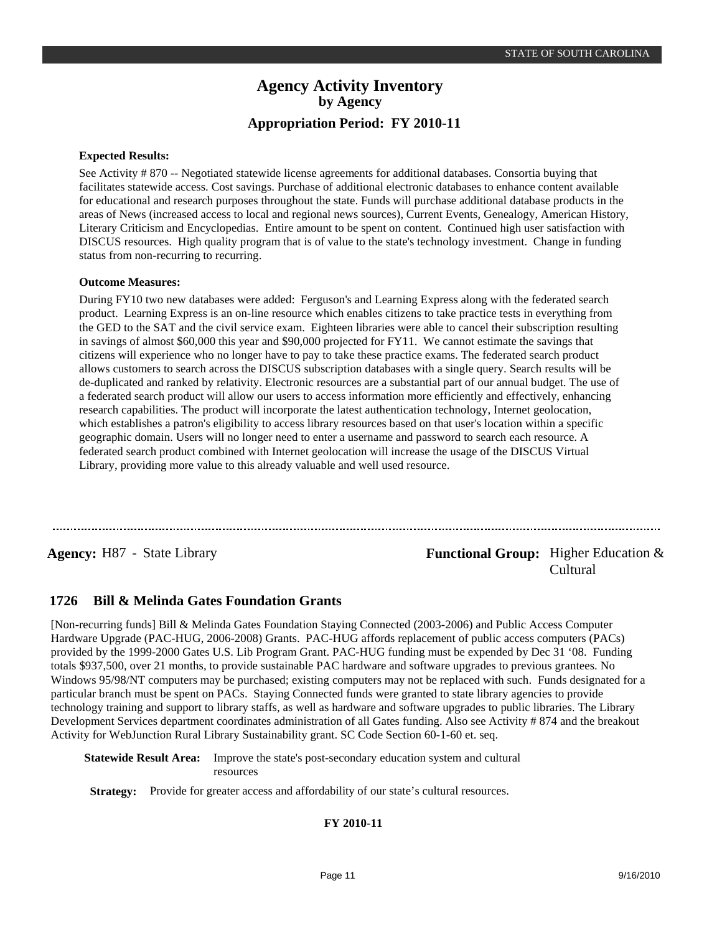### **Expected Results:**

See Activity # 870 -- Negotiated statewide license agreements for additional databases. Consortia buying that facilitates statewide access. Cost savings. Purchase of additional electronic databases to enhance content available for educational and research purposes throughout the state. Funds will purchase additional database products in the areas of News (increased access to local and regional news sources), Current Events, Genealogy, American History, Literary Criticism and Encyclopedias. Entire amount to be spent on content. Continued high user satisfaction with DISCUS resources. High quality program that is of value to the state's technology investment. Change in funding status from non-recurring to recurring.

### **Outcome Measures:**

During FY10 two new databases were added: Ferguson's and Learning Express along with the federated search product. Learning Express is an on-line resource which enables citizens to take practice tests in everything from the GED to the SAT and the civil service exam. Eighteen libraries were able to cancel their subscription resulting in savings of almost \$60,000 this year and \$90,000 projected for FY11. We cannot estimate the savings that citizens will experience who no longer have to pay to take these practice exams. The federated search product allows customers to search across the DISCUS subscription databases with a single query. Search results will be de-duplicated and ranked by relativity. Electronic resources are a substantial part of our annual budget. The use of a federated search product will allow our users to access information more efficiently and effectively, enhancing research capabilities. The product will incorporate the latest authentication technology, Internet geolocation, which establishes a patron's eligibility to access library resources based on that user's location within a specific geographic domain. Users will no longer need to enter a username and password to search each resource. A federated search product combined with Internet geolocation will increase the usage of the DISCUS Virtual Library, providing more value to this already valuable and well used resource.

**Agency:** H87 - State Library **- Agency: Functional Group:** Higher Education & Cultural

#### **Bill & Melinda Gates Foundation Grants 1726**

[Non-recurring funds] Bill & Melinda Gates Foundation Staying Connected (2003-2006) and Public Access Computer Hardware Upgrade (PAC-HUG, 2006-2008) Grants. PAC-HUG affords replacement of public access computers (PACs) provided by the 1999-2000 Gates U.S. Lib Program Grant. PAC-HUG funding must be expended by Dec 31 '08. Funding totals \$937,500, over 21 months, to provide sustainable PAC hardware and software upgrades to previous grantees. No Windows 95/98/NT computers may be purchased; existing computers may not be replaced with such. Funds designated for a particular branch must be spent on PACs. Staying Connected funds were granted to state library agencies to provide technology training and support to library staffs, as well as hardware and software upgrades to public libraries. The Library Development Services department coordinates administration of all Gates funding. Also see Activity # 874 and the breakout Activity for WebJunction Rural Library Sustainability grant. SC Code Section 60-1-60 et. seq.

**Statewide Result Area:** Improve the state's post-secondary education system and cultural resources

**Strategy:** Provide for greater access and affordability of our state's cultural resources.

### **FY 2010-11**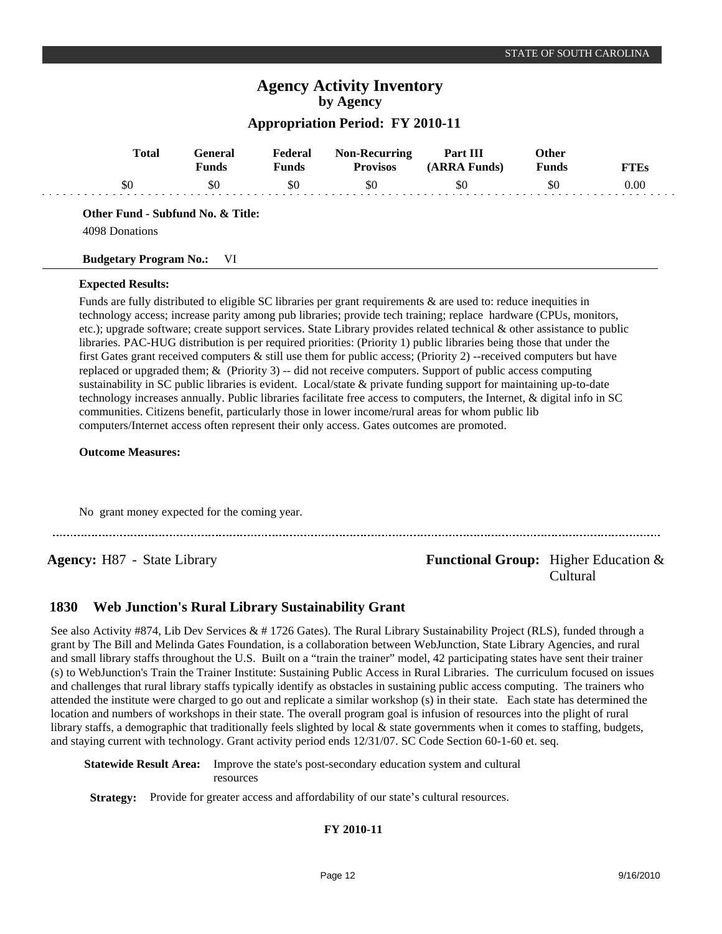## **Appropriation Period: FY 2010-11**

| <b>Total</b>                                        | General<br><b>Funds</b> | Federal<br><b>Funds</b> | <b>Non-Recurring</b><br><b>Provisos</b> | Part III<br>(ARRA Funds) | <b>Other</b><br><b>Funds</b> | <b>FTEs</b> |
|-----------------------------------------------------|-------------------------|-------------------------|-----------------------------------------|--------------------------|------------------------------|-------------|
| \$0                                                 | \$0                     | \$0                     | \$0                                     | \$0                      | \$0                          | 0.00        |
| Other Fund - Subfund No. & Title:<br>4098 Donations |                         |                         |                                         |                          |                              |             |

# **Budgetary Program No.:** VI

#### **Expected Results:**

Funds are fully distributed to eligible SC libraries per grant requirements & are used to: reduce inequities in technology access; increase parity among pub libraries; provide tech training; replace hardware (CPUs, monitors, etc.); upgrade software; create support services. State Library provides related technical & other assistance to public libraries. PAC-HUG distribution is per required priorities: (Priority 1) public libraries being those that under the first Gates grant received computers & still use them for public access; (Priority 2) --received computers but have replaced or upgraded them; & (Priority 3) -- did not receive computers. Support of public access computing sustainability in SC public libraries is evident. Local/state & private funding support for maintaining up-to-date technology increases annually. Public libraries facilitate free access to computers, the Internet, & digital info in SC communities. Citizens benefit, particularly those in lower income/rural areas for whom public lib computers/Internet access often represent their only access. Gates outcomes are promoted.

#### **Outcome Measures:**

No grant money expected for the coming year.

## **Agency:** H87 - State Library **- Agency: Functional Group:** Higher Education & Cultural

#### **Web Junction's Rural Library Sustainability Grant 1830**

See also Activity #874, Lib Dev Services  $& 41726$  Gates). The Rural Library Sustainability Project (RLS), funded through a grant by The Bill and Melinda Gates Foundation, is a collaboration between WebJunction, State Library Agencies, and rural and small library staffs throughout the U.S. Built on a "train the trainer" model, 42 participating states have sent their trainer (s) to WebJunction's Train the Trainer Institute: Sustaining Public Access in Rural Libraries. The curriculum focused on issues and challenges that rural library staffs typically identify as obstacles in sustaining public access computing. The trainers who attended the institute were charged to go out and replicate a similar workshop (s) in their state. Each state has determined the location and numbers of workshops in their state. The overall program goal is infusion of resources into the plight of rural library staffs, a demographic that traditionally feels slighted by local & state governments when it comes to staffing, budgets, and staying current with technology. Grant activity period ends 12/31/07. SC Code Section 60-1-60 et. seq.

**Statewide Result Area:** Improve the state's post-secondary education system and cultural resources

**Strategy:** Provide for greater access and affordability of our state's cultural resources.

### **FY 2010-11**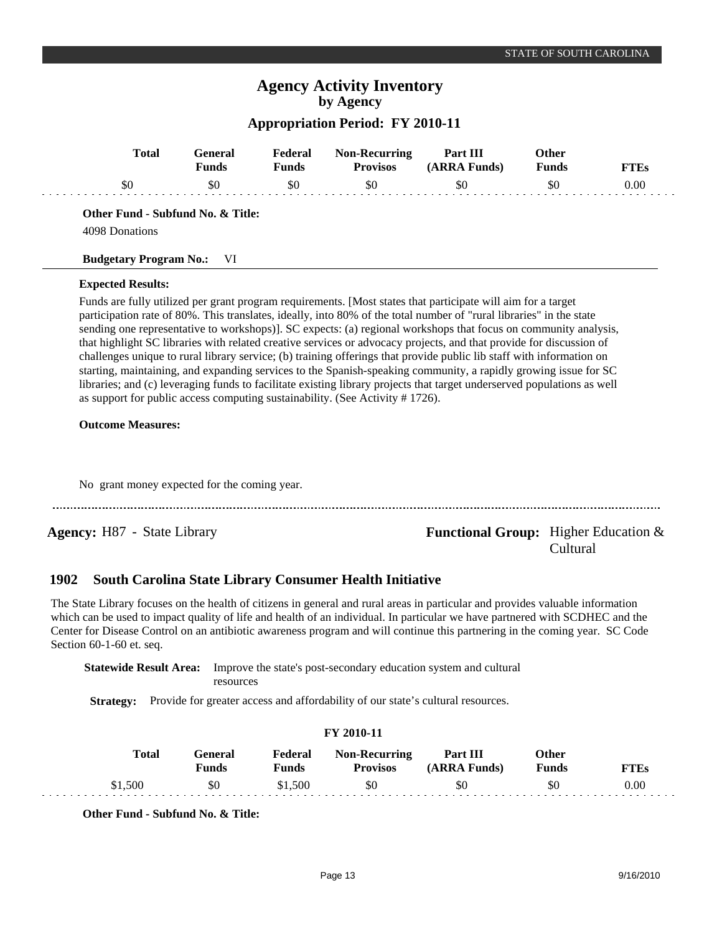## **Appropriation Period: FY 2010-11**

| <b>Total</b>                                                                                             | <b>General</b><br><b>Funds</b> | Federal<br><b>Funds</b> | <b>Non-Recurring</b><br><b>Provisos</b>                        | Part III<br>(ARRA Funds)                                                                                                                                                                                                                                                                                                                                                                                                                                                                                                                                                                                                                                                                                                            | Other<br><b>Funds</b> | <b>FTEs</b> |
|----------------------------------------------------------------------------------------------------------|--------------------------------|-------------------------|----------------------------------------------------------------|-------------------------------------------------------------------------------------------------------------------------------------------------------------------------------------------------------------------------------------------------------------------------------------------------------------------------------------------------------------------------------------------------------------------------------------------------------------------------------------------------------------------------------------------------------------------------------------------------------------------------------------------------------------------------------------------------------------------------------------|-----------------------|-------------|
| \$0                                                                                                      | \$0                            | \$0                     | \$0                                                            | \$0                                                                                                                                                                                                                                                                                                                                                                                                                                                                                                                                                                                                                                                                                                                                 | \$0                   | 0.00        |
| Other Fund - Subfund No. & Title:                                                                        |                                |                         |                                                                |                                                                                                                                                                                                                                                                                                                                                                                                                                                                                                                                                                                                                                                                                                                                     |                       |             |
| 4098 Donations                                                                                           |                                |                         |                                                                |                                                                                                                                                                                                                                                                                                                                                                                                                                                                                                                                                                                                                                                                                                                                     |                       |             |
| <b>Budgetary Program No.:</b>                                                                            | VI                             |                         |                                                                |                                                                                                                                                                                                                                                                                                                                                                                                                                                                                                                                                                                                                                                                                                                                     |                       |             |
| <b>Expected Results:</b>                                                                                 |                                |                         |                                                                |                                                                                                                                                                                                                                                                                                                                                                                                                                                                                                                                                                                                                                                                                                                                     |                       |             |
| as support for public access computing sustainability. (See Activity #1726).<br><b>Outcome Measures:</b> |                                |                         |                                                                | participation rate of 80%. This translates, ideally, into 80% of the total number of "rural libraries" in the state<br>sending one representative to workshops)]. SC expects: (a) regional workshops that focus on community analysis,<br>that highlight SC libraries with related creative services or advocacy projects, and that provide for discussion of<br>challenges unique to rural library service; (b) training offerings that provide public lib staff with information on<br>starting, maintaining, and expanding services to the Spanish-speaking community, a rapidly growing issue for SC<br>libraries; and (c) leveraging funds to facilitate existing library projects that target underserved populations as well |                       |             |
| No grant money expected for the coming year.                                                             |                                |                         |                                                                |                                                                                                                                                                                                                                                                                                                                                                                                                                                                                                                                                                                                                                                                                                                                     |                       |             |
| <b>Agency:</b> H87 - State Library                                                                       |                                |                         |                                                                | <b>Functional Group:</b> Higher Education $\&$                                                                                                                                                                                                                                                                                                                                                                                                                                                                                                                                                                                                                                                                                      | Cultural              |             |
| 1902                                                                                                     |                                |                         | <b>South Carolina State Library Consumer Health Initiative</b> |                                                                                                                                                                                                                                                                                                                                                                                                                                                                                                                                                                                                                                                                                                                                     |                       |             |

The State Library focuses on the health of citizens in general and rural areas in particular and provides valuable information which can be used to impact quality of life and health of an individual. In particular we have partnered with SCDHEC and the Center for Disease Control on an antibiotic awareness program and will continue this partnering in the coming year. SC Code Section 60-1-60 et. seq.

**Statewide Result Area:** Improve the state's post-secondary education system and cultural resources

**Strategy:** Provide for greater access and affordability of our state's cultural resources.

|              |                  |                  | FY 2010-11                              |                          |                |      |
|--------------|------------------|------------------|-----------------------------------------|--------------------------|----------------|------|
| <b>Total</b> | General<br>Funds | Federal<br>Funds | <b>Non-Recurring</b><br><b>Provisos</b> | Part III<br>(ARRA Funds) | Other<br>Funds | FTEs |
| \$1,500      | \$0              | \$1,500          | \$0                                     | \$0                      | \$0            | 0.00 |

**Other Fund - Subfund No. & Title:**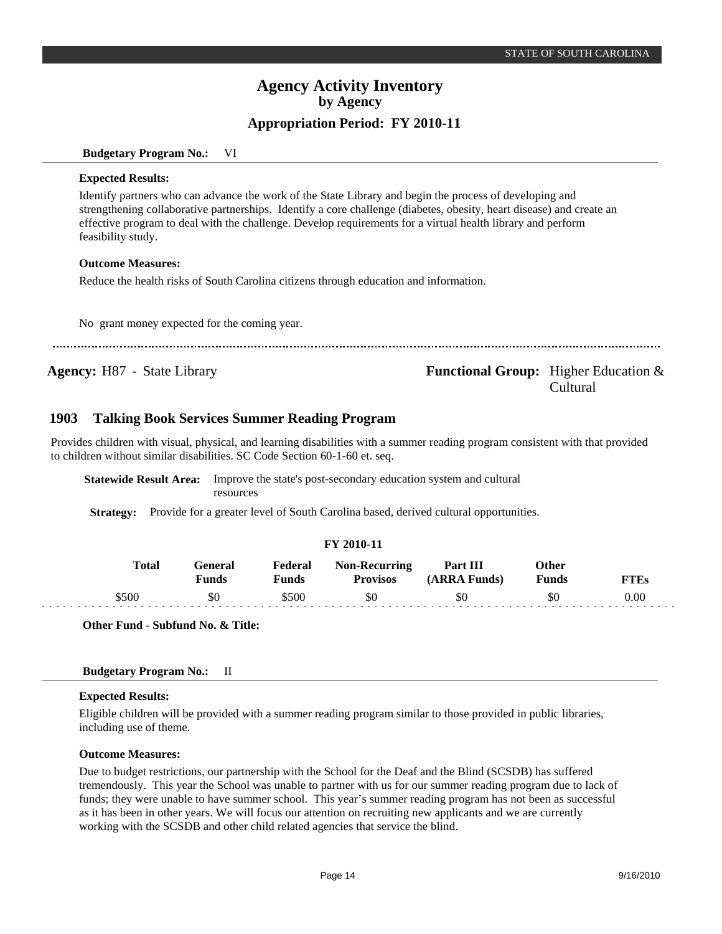#### **Budgetary Program No.:** VI

#### **Expected Results:**

Identify partners who can advance the work of the State Library and begin the process of developing and strengthening collaborative partnerships. Identify a core challenge (diabetes, obesity, heart disease) and create an effective program to deal with the challenge. Develop requirements for a virtual health library and perform feasibility study.

#### **Outcome Measures:**

Reduce the health risks of South Carolina citizens through education and information.

No grant money expected for the coming year.

**Agency:** H87 - State Library **-** *Functional Group:* Higher Education & Cultural

#### **Talking Book Services Summer Reading Program 1903**

Provides children with visual, physical, and learning disabilities with a summer reading program consistent with that provided to children without similar disabilities. SC Code Section 60-1-60 et. seq.

| <b>Statewide Result Area:</b> Improve the state's post-secondary education system and cultural |
|------------------------------------------------------------------------------------------------|
| resources                                                                                      |

**Strategy:** Provide for a greater level of South Carolina based, derived cultural opportunities.

### **FY 2010-11**

| <b>Total</b> | General<br>Funds | Federal<br>Funds | <b>Non-Recurring</b><br><b>Provisos</b> | Part III<br>(ARRA Funds) | Other<br>Funds | <b>TTEs</b> |
|--------------|------------------|------------------|-----------------------------------------|--------------------------|----------------|-------------|
| \$500        | \$0              | \$500            | \$0                                     | \$0                      | \$0            | 0.00        |

**Other Fund - Subfund No. & Title:**

#### **Budgetary Program No.:** II

#### **Expected Results:**

Eligible children will be provided with a summer reading program similar to those provided in public libraries, including use of theme.

#### **Outcome Measures:**

Due to budget restrictions, our partnership with the School for the Deaf and the Blind (SCSDB) has suffered tremendously. This year the School was unable to partner with us for our summer reading program due to lack of funds; they were unable to have summer school. This year's summer reading program has not been as successful as it has been in other years. We will focus our attention on recruiting new applicants and we are currently working with the SCSDB and other child related agencies that service the blind.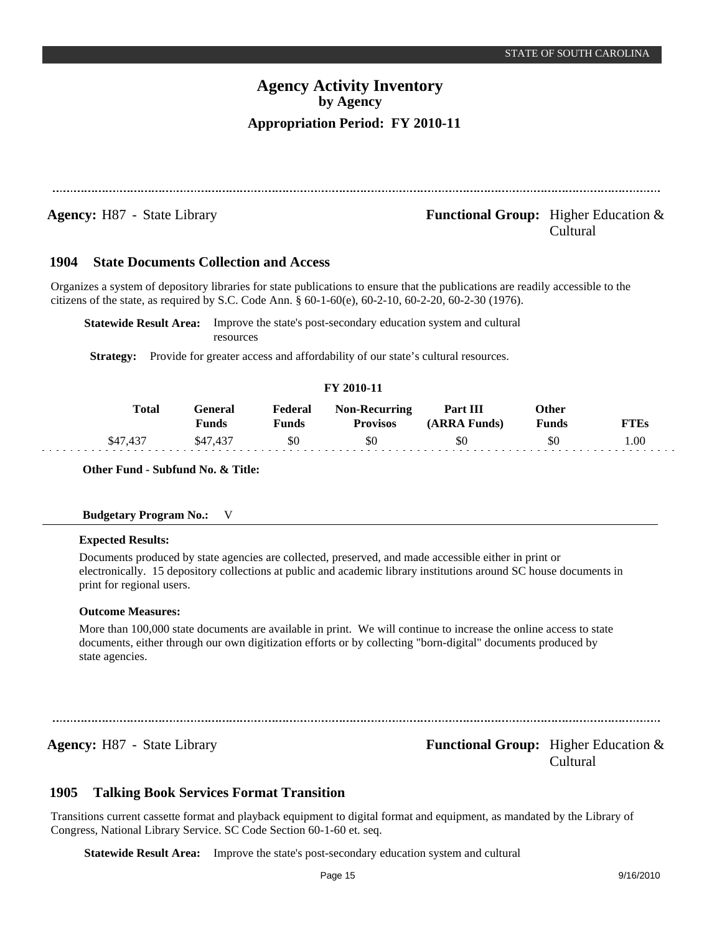| <b>Agency:</b> H87 - State Library |  | <b>Functional Group:</b> Higher Education $\&$ |
|------------------------------------|--|------------------------------------------------|
|                                    |  | Cultural                                       |

#### **State Documents Collection and Access 1904**

Organizes a system of depository libraries for state publications to ensure that the publications are readily accessible to the citizens of the state, as required by S.C. Code Ann. § 60-1-60(e), 60-2-10, 60-2-20, 60-2-30 (1976).

**Statewide Result Area:** Improve the state's post-secondary education system and cultural resources

**Strategy:** Provide for greater access and affordability of our state's cultural resources.

### **FY 2010-11**

|      | <b>Total</b> | General<br>Funds | Federal<br>Funds | <b>Non-Recurring</b><br><b>Provisos</b> | Part III<br>(ARRA Funds) | Other<br>Funds | FTEs |
|------|--------------|------------------|------------------|-----------------------------------------|--------------------------|----------------|------|
| \$47 |              |                  | \$0              | \$0                                     | \$0                      | \$0            | .00  |

**Other Fund - Subfund No. & Title:**

| <b>Budgetary Program No.:</b> |  | V |
|-------------------------------|--|---|
|-------------------------------|--|---|

#### **Expected Results:**

Documents produced by state agencies are collected, preserved, and made accessible either in print or electronically. 15 depository collections at public and academic library institutions around SC house documents in print for regional users.

### **Outcome Measures:**

More than 100,000 state documents are available in print. We will continue to increase the online access to state documents, either through our own digitization efforts or by collecting "born-digital" documents produced by state agencies.

## **Agency:** H87 - State Library **- Agency: Functional Group:** Higher Education & Cultural

#### **Talking Book Services Format Transition 1905**

Transitions current cassette format and playback equipment to digital format and equipment, as mandated by the Library of Congress, National Library Service. SC Code Section 60-1-60 et. seq.

**Statewide Result Area:** Improve the state's post-secondary education system and cultural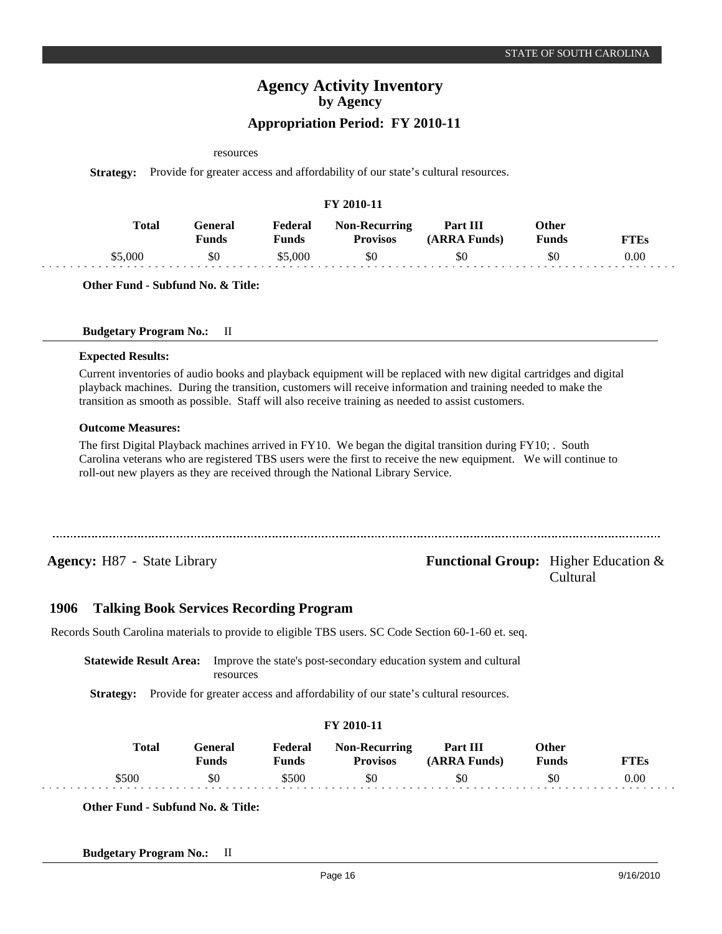### resources

**Strategy:** Provide for greater access and affordability of our state's cultural resources.

|              |                         |                  | FY 2010-11                              |                          |                              |             |
|--------------|-------------------------|------------------|-----------------------------------------|--------------------------|------------------------------|-------------|
| <b>Total</b> | General<br><b>Funds</b> | Federal<br>Funds | <b>Non-Recurring</b><br><b>Provisos</b> | Part III<br>(ARRA Funds) | <b>Other</b><br><b>Funds</b> | <b>FTEs</b> |
| \$5,000      | \$0                     | \$5,000          | \$0                                     | \$0                      | \$0                          | 0.00        |

**Other Fund - Subfund No. & Title:**

### **Budgetary Program No.:** II

### **Expected Results:**

Current inventories of audio books and playback equipment will be replaced with new digital cartridges and digital playback machines. During the transition, customers will receive information and training needed to make the transition as smooth as possible. Staff will also receive training as needed to assist customers.

### **Outcome Measures:**

The first Digital Playback machines arrived in FY10. We began the digital transition during FY10; . South Carolina veterans who are registered TBS users were the first to receive the new equipment. We will continue to roll-out new players as they are received through the National Library Service.

## **Agency:** H87 - State Library **- Agency: Functional Group:** Higher Education & Cultural

#### **Talking Book Services Recording Program 1906**

Records South Carolina materials to provide to eligible TBS users. SC Code Section 60-1-60 et. seq.

**Statewide Result Area:** Improve the state's post-secondary education system and cultural resources

**Strategy:** Provide for greater access and affordability of our state's cultural resources.

|       |                         |                  | <b>FY 2010-11</b>                       |                          |                              |             |
|-------|-------------------------|------------------|-----------------------------------------|--------------------------|------------------------------|-------------|
| Total | General<br><b>Funds</b> | Federal<br>Funds | <b>Non-Recurring</b><br><b>Provisos</b> | Part III<br>(ARRA Funds) | <b>Other</b><br><b>Funds</b> | <b>FTEs</b> |
| \$500 | \$0                     | \$500            | \$0                                     | \$0                      | \$0                          | 0.00        |

**Other Fund - Subfund No. & Title:**

**Budgetary Program No.:** II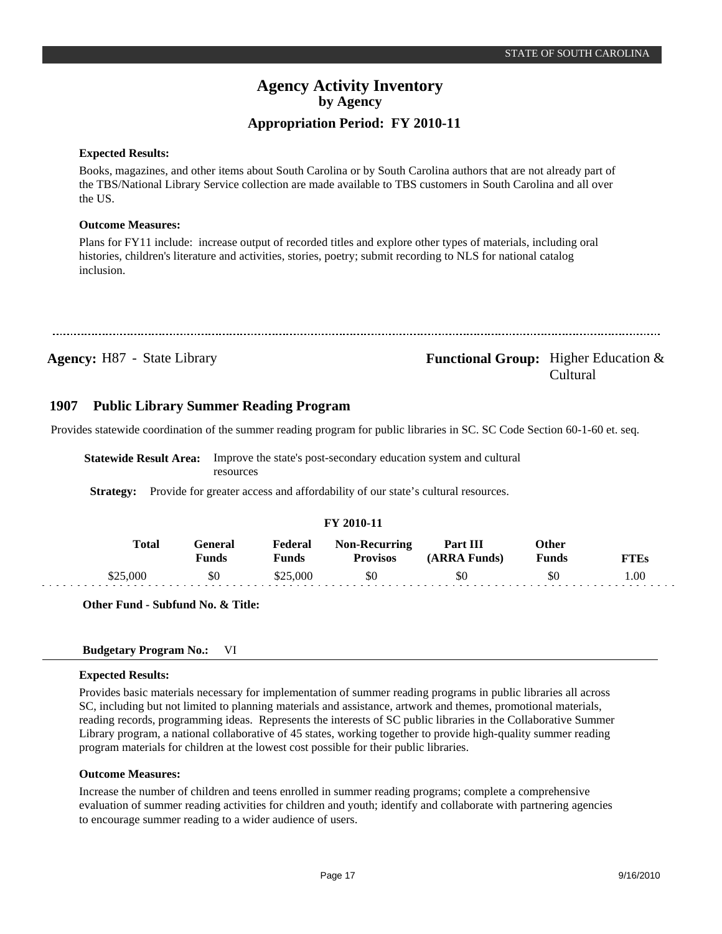#### **Expected Results:**

Books, magazines, and other items about South Carolina or by South Carolina authors that are not already part of the TBS/National Library Service collection are made available to TBS customers in South Carolina and all over the US.

### **Outcome Measures:**

Plans for FY11 include: increase output of recorded titles and explore other types of materials, including oral histories, children's literature and activities, stories, poetry; submit recording to NLS for national catalog inclusion.

**Agency:** H87 - State Library **- Agency: Functional Group:** Higher Education & Cultural

#### **Public Library Summer Reading Program 1907**

Provides statewide coordination of the summer reading program for public libraries in SC. SC Code Section 60-1-60 et. seq.

**Statewide Result Area:** Improve the state's post-secondary education system and cultural resources

**Strategy:** Provide for greater access and affordability of our state's cultural resources.

### **FY 2010-11**

|  | Total    | General<br>Funds | Federal<br>Funds | <b>Non-Recurring</b><br><b>Provisos</b> | Part III<br>(ARRA Funds) | )ther<br>Funds | FTEs |
|--|----------|------------------|------------------|-----------------------------------------|--------------------------|----------------|------|
|  | \$25,000 | \$0              | \$25,000         | \$0                                     | \$0                      | \$0            | .00  |

**Other Fund - Subfund No. & Title:**

### **Budgetary Program No.:** VI

### **Expected Results:**

Provides basic materials necessary for implementation of summer reading programs in public libraries all across SC, including but not limited to planning materials and assistance, artwork and themes, promotional materials, reading records, programming ideas. Represents the interests of SC public libraries in the Collaborative Summer Library program, a national collaborative of 45 states, working together to provide high-quality summer reading program materials for children at the lowest cost possible for their public libraries.

### **Outcome Measures:**

Increase the number of children and teens enrolled in summer reading programs; complete a comprehensive evaluation of summer reading activities for children and youth; identify and collaborate with partnering agencies to encourage summer reading to a wider audience of users.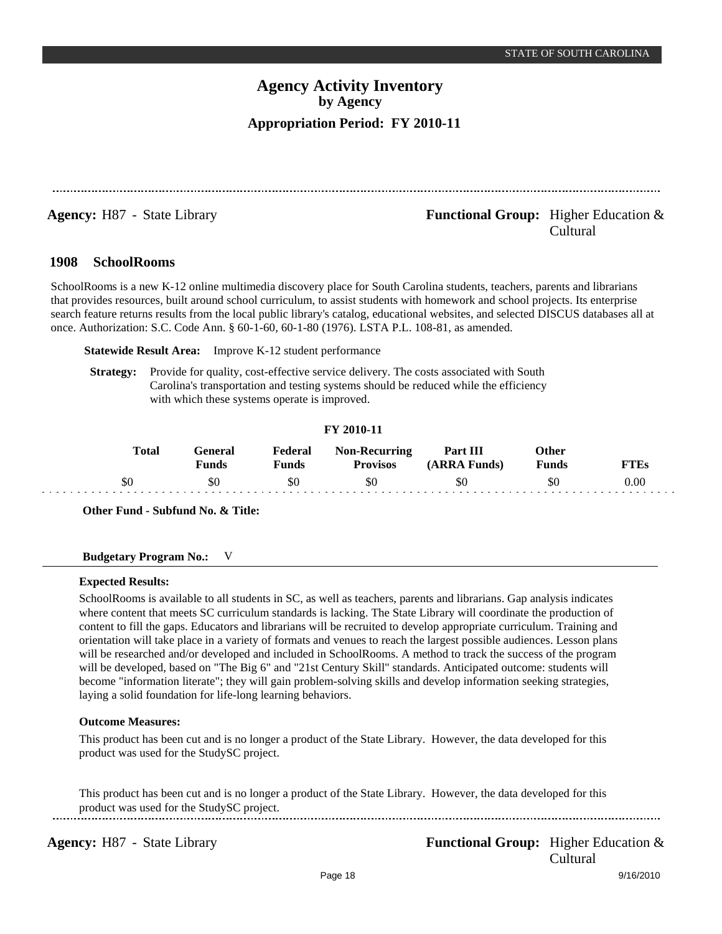## **Agency:** H87 - State Library **- Agency: Functional Group:** Higher Education & Cultural

#### **SchoolRooms 1908**

SchoolRooms is a new K-12 online multimedia discovery place for South Carolina students, teachers, parents and librarians that provides resources, built around school curriculum, to assist students with homework and school projects. Its enterprise search feature returns results from the local public library's catalog, educational websites, and selected DISCUS databases all at once. Authorization: S.C. Code Ann. § 60-1-60, 60-1-80 (1976). LSTA P.L. 108-81, as amended.

**Statewide Result Area:** Improve K-12 student performance

**Strategy:** Provide for quality, cost-effective service delivery. The costs associated with South Carolina's transportation and testing systems should be reduced while the efficiency with which these systems operate is improved.

### **FY 2010-11**

| Total | General<br>Funds | Federal<br>Funds | Non-Recurring<br><b>Provisos</b> | Part III<br>(ARRA Funds) | <b>Other</b><br><b>Funds</b> | FTEs |
|-------|------------------|------------------|----------------------------------|--------------------------|------------------------------|------|
| SC    | \$0              | \$0              | \$0                              | \$0                      | \$0                          | 0.00 |

**Other Fund - Subfund No. & Title:**

### **Budgetary Program No.:** V

### **Expected Results:**

SchoolRooms is available to all students in SC, as well as teachers, parents and librarians. Gap analysis indicates where content that meets SC curriculum standards is lacking. The State Library will coordinate the production of content to fill the gaps. Educators and librarians will be recruited to develop appropriate curriculum. Training and orientation will take place in a variety of formats and venues to reach the largest possible audiences. Lesson plans will be researched and/or developed and included in SchoolRooms. A method to track the success of the program will be developed, based on "The Big 6" and "21st Century Skill" standards. Anticipated outcome: students will become "information literate"; they will gain problem-solving skills and develop information seeking strategies, laying a solid foundation for life-long learning behaviors.

### **Outcome Measures:**

This product has been cut and is no longer a product of the State Library. However, the data developed for this product was used for the StudySC project.

This product has been cut and is no longer a product of the State Library. However, the data developed for this product was used for the StudySC project.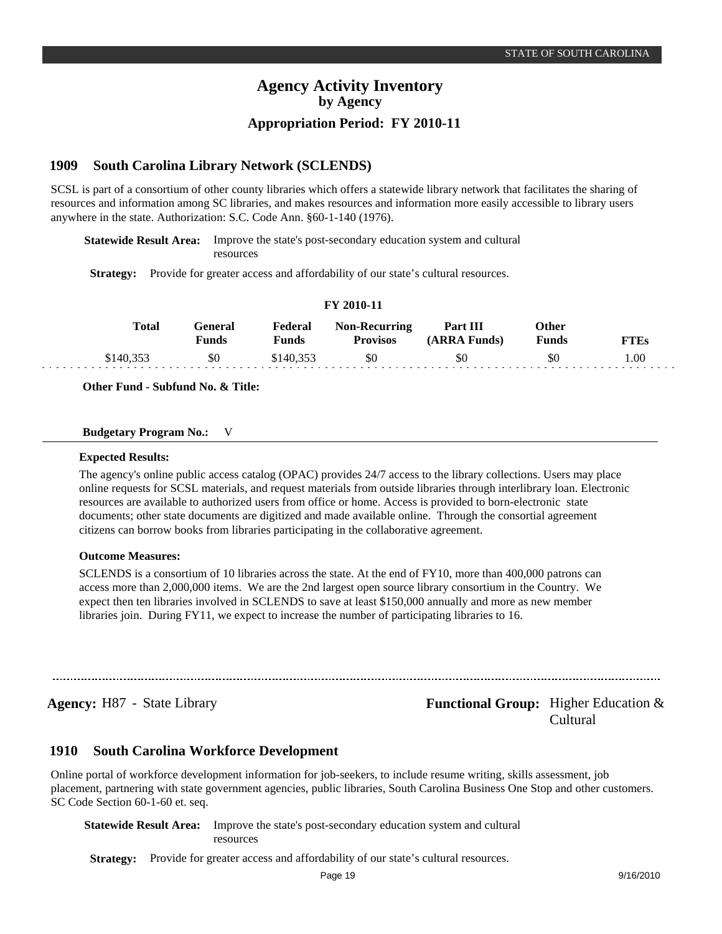#### **South Carolina Library Network (SCLENDS) 1909**

SCSL is part of a consortium of other county libraries which offers a statewide library network that facilitates the sharing of resources and information among SC libraries, and makes resources and information more easily accessible to library users anywhere in the state. Authorization: S.C. Code Ann. §60-1-140 (1976).

**Statewide Result Area:** Improve the state's post-secondary education system and cultural resources

**Strategy:** Provide for greater access and affordability of our state's cultural resources.

|           | Total<br>General<br>Funds | <b>Funds</b> | <b>Federal Non-Recurring</b><br><b>Provisos</b> | <b>Part III</b><br>(ARRA Funds) | Other<br><b>Funds</b> | FTEs |
|-----------|---------------------------|--------------|-------------------------------------------------|---------------------------------|-----------------------|------|
| \$140.353 | \$0                       | \$140.353    | \$0                                             | \$0                             | \$0                   | 00.1 |

**FY 2010-11**

**Other Fund - Subfund No. & Title:**

#### **Budgetary Program No.:** V

#### **Expected Results:**

The agency's online public access catalog (OPAC) provides 24/7 access to the library collections. Users may place online requests for SCSL materials, and request materials from outside libraries through interlibrary loan. Electronic resources are available to authorized users from office or home. Access is provided to born-electronic state documents; other state documents are digitized and made available online. Through the consortial agreement citizens can borrow books from libraries participating in the collaborative agreement.

#### **Outcome Measures:**

SCLENDS is a consortium of 10 libraries across the state. At the end of FY10, more than 400,000 patrons can access more than 2,000,000 items. We are the 2nd largest open source library consortium in the Country. We expect then ten libraries involved in SCLENDS to save at least \$150,000 annually and more as new member libraries join. During FY11, we expect to increase the number of participating libraries to 16.

## **Agency:** H87 - State Library **- Agency: Functional Group:** Higher Education & Cultural

#### **South Carolina Workforce Development 1910**

Online portal of workforce development information for job-seekers, to include resume writing, skills assessment, job placement, partnering with state government agencies, public libraries, South Carolina Business One Stop and other customers. SC Code Section 60-1-60 et. seq.

**Statewide Result Area:** Improve the state's post-secondary education system and cultural resources

**Strategy:** Provide for greater access and affordability of our state's cultural resources.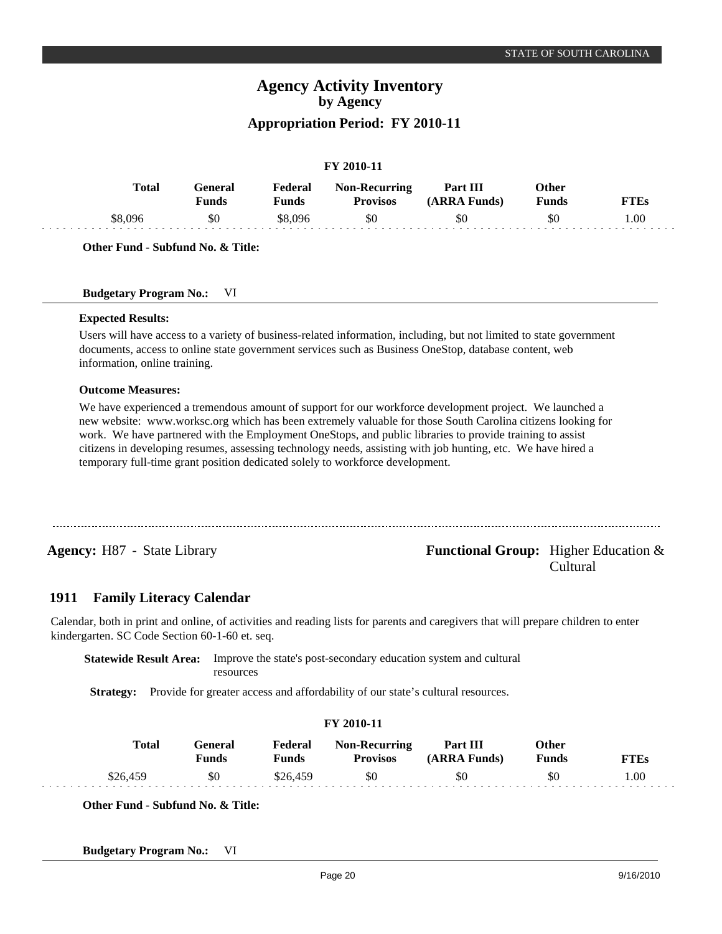### **FY 2010-11**

| <b>Total</b> | General<br>पunds | Federal<br>Funds | <b>Non-Recurring</b><br>Provisos | Part III<br>(ARRA Funds) | Other<br>Funds | <b>FTEs</b> |
|--------------|------------------|------------------|----------------------------------|--------------------------|----------------|-------------|
| \$8,096      | \$0              | \$8.096          | \$0                              | \$0                      | SU             | 00.         |
|              |                  |                  |                                  |                          |                |             |

**Other Fund - Subfund No. & Title:**

#### **Budgetary Program No.:** VI

### **Expected Results:**

Users will have access to a variety of business-related information, including, but not limited to state government documents, access to online state government services such as Business OneStop, database content, web information, online training.

#### **Outcome Measures:**

We have experienced a tremendous amount of support for our workforce development project. We launched a new website: www.worksc.org which has been extremely valuable for those South Carolina citizens looking for work. We have partnered with the Employment OneStops, and public libraries to provide training to assist citizens in developing resumes, assessing technology needs, assisting with job hunting, etc. We have hired a temporary full-time grant position dedicated solely to workforce development.

## **Agency:** H87 - State Library **- Equal Functional Group:** Higher Education & Cultural

#### **Family Literacy Calendar 1911**

Calendar, both in print and online, of activities and reading lists for parents and caregivers that will prepare children to enter kindergarten. SC Code Section 60-1-60 et. seq.

**Statewide Result Area:** Improve the state's post-secondary education system and cultural resources

**Strategy:** Provide for greater access and affordability of our state's cultural resources.

|          | Total |                  |                  |                                         |                          |                |             |
|----------|-------|------------------|------------------|-----------------------------------------|--------------------------|----------------|-------------|
|          |       | General<br>Funds | Federal<br>Funds | <b>Non-Recurring</b><br><b>Provisos</b> | Part III<br>(ARRA Funds) | Other<br>Funds | <b>FTEs</b> |
| \$26,459 |       | \$0              | \$26,459         | \$0                                     | \$0                      | \$0            | 1.00        |

**Other Fund - Subfund No. & Title:**

**Budgetary Program No.:** VI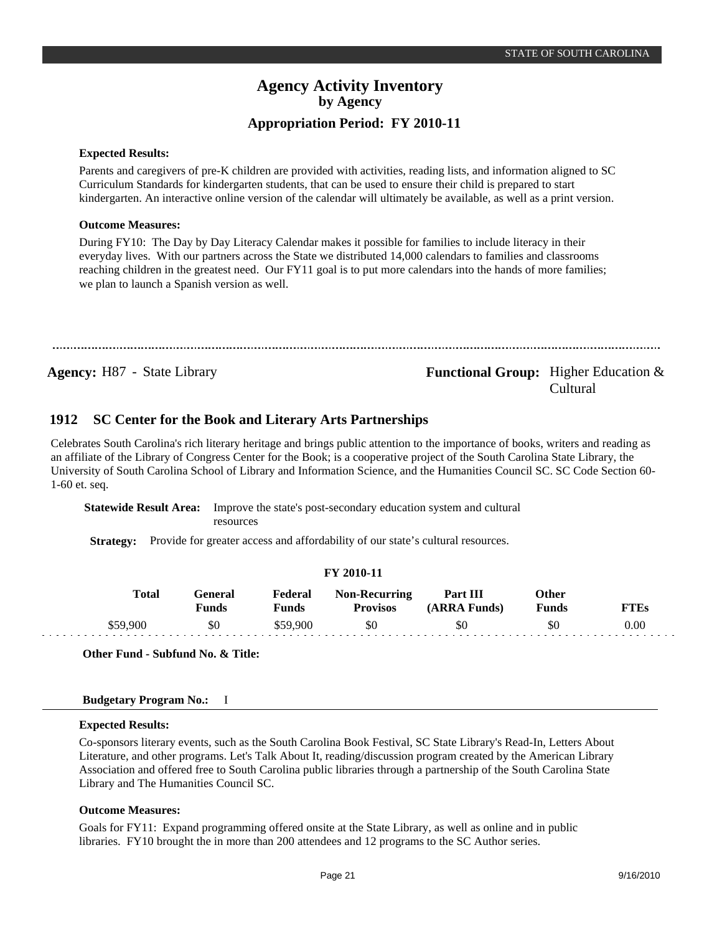#### **Expected Results:**

Parents and caregivers of pre-K children are provided with activities, reading lists, and information aligned to SC Curriculum Standards for kindergarten students, that can be used to ensure their child is prepared to start kindergarten. An interactive online version of the calendar will ultimately be available, as well as a print version.

#### **Outcome Measures:**

During FY10: The Day by Day Literacy Calendar makes it possible for families to include literacy in their everyday lives. With our partners across the State we distributed 14,000 calendars to families and classrooms reaching children in the greatest need. Our FY11 goal is to put more calendars into the hands of more families; we plan to launch a Spanish version as well.

**Agency:** H87 - State Library **- Agency: Functional Group:** Higher Education & Cultural

#### **SC Center for the Book and Literary Arts Partnerships 1912**

Celebrates South Carolina's rich literary heritage and brings public attention to the importance of books, writers and reading as an affiliate of the Library of Congress Center for the Book; is a cooperative project of the South Carolina State Library, the University of South Carolina School of Library and Information Science, and the Humanities Council SC. SC Code Section 60- 1-60 et. seq.

**Statewide Result Area:** Improve the state's post-secondary education system and cultural resources

**Strategy:** Provide for greater access and affordability of our state's cultural resources.

|              |                         |                         | FY 2010-11                              |                                 |                              |             |
|--------------|-------------------------|-------------------------|-----------------------------------------|---------------------------------|------------------------------|-------------|
| <b>Total</b> | General<br><b>Funds</b> | Federal<br><b>Funds</b> | <b>Non-Recurring</b><br><b>Provisos</b> | <b>Part III</b><br>(ARRA Funds) | <b>Other</b><br><b>Funds</b> | <b>FTEs</b> |
| \$59,900     | \$0                     | \$59,900                | \$0                                     | \$0                             | \$0                          | 0.00        |

**Other Fund - Subfund No. & Title:**

#### **Budgetary Program No.:** I

#### **Expected Results:**

Co-sponsors literary events, such as the South Carolina Book Festival, SC State Library's Read-In, Letters About Literature, and other programs. Let's Talk About It, reading/discussion program created by the American Library Association and offered free to South Carolina public libraries through a partnership of the South Carolina State Library and The Humanities Council SC.

### **Outcome Measures:**

Goals for FY11: Expand programming offered onsite at the State Library, as well as online and in public libraries. FY10 brought the in more than 200 attendees and 12 programs to the SC Author series.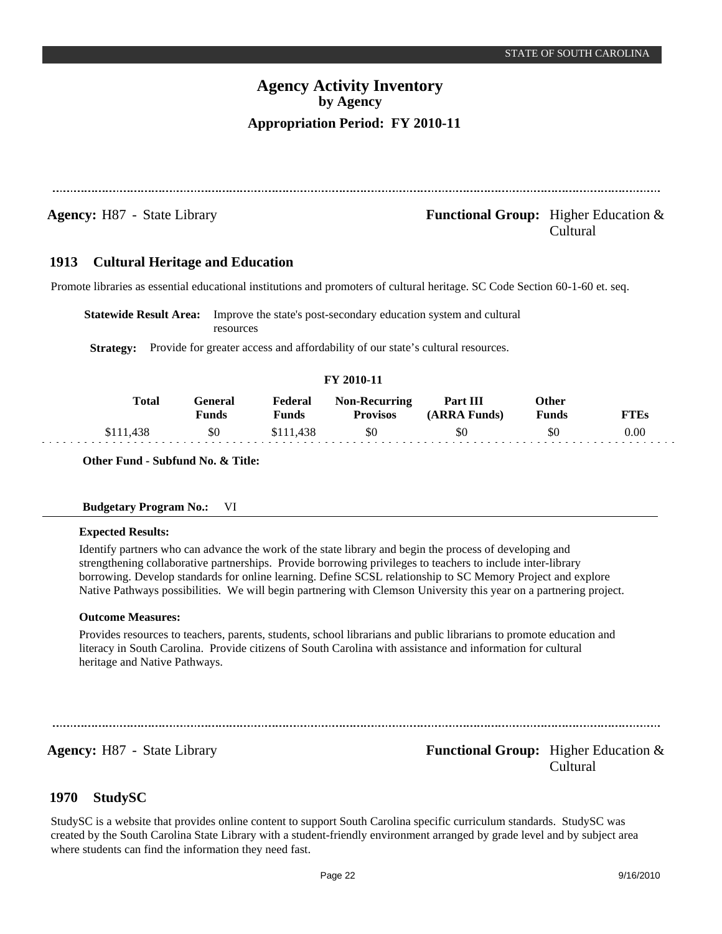Cultural

## **Agency Activity Inventory by Agency Appropriation Period: FY 2010-11**

**Agency:** H87 - State Library **- Agency: Functional Group:** Higher Education &

#### **Cultural Heritage and Education 1913**

Promote libraries as essential educational institutions and promoters of cultural heritage. SC Code Section 60-1-60 et. seq.

**Statewide Result Area:** Improve the state's post-secondary education system and cultural resources

**Strategy:** Provide for greater access and affordability of our state's cultural resources.

### **FY 2010-11**

| <b>Total</b> | ÷eneral<br><b>Funds</b> | Federal<br>Funds | <b>Non-Recurring</b><br><b>Provisos</b> | Part III<br>(ARRA Funds) | Other<br>Funds | <sup>~</sup> TEs |
|--------------|-------------------------|------------------|-----------------------------------------|--------------------------|----------------|------------------|
|              | \$0                     | \$111,438        | \$0                                     | \$0                      | \$0            | 0.00             |

**Other Fund - Subfund No. & Title:**

### **Budgetary Program No.:** VI

#### **Expected Results:**

Identify partners who can advance the work of the state library and begin the process of developing and strengthening collaborative partnerships. Provide borrowing privileges to teachers to include inter-library borrowing. Develop standards for online learning. Define SCSL relationship to SC Memory Project and explore Native Pathways possibilities. We will begin partnering with Clemson University this year on a partnering project.

#### **Outcome Measures:**

Provides resources to teachers, parents, students, school librarians and public librarians to promote education and literacy in South Carolina. Provide citizens of South Carolina with assistance and information for cultural heritage and Native Pathways.

## **Agency:** H87 - State Library **- Agency: Functional Group:** Higher Education & Cultural

#### **StudySC 1970**

StudySC is a website that provides online content to support South Carolina specific curriculum standards. StudySC was created by the South Carolina State Library with a student-friendly environment arranged by grade level and by subject area where students can find the information they need fast.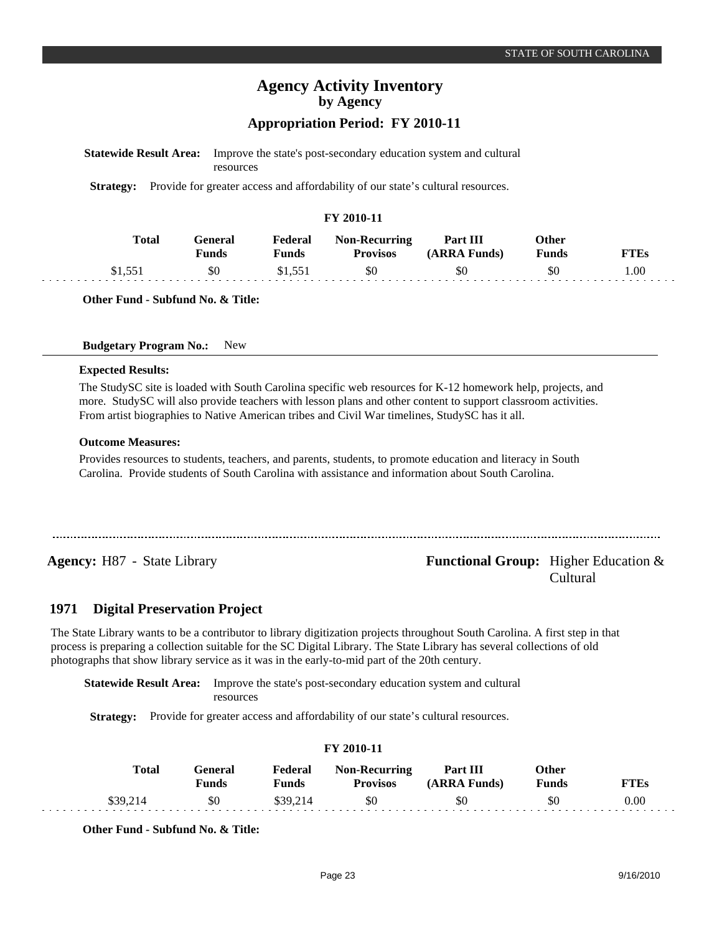**FTEs** 1.00

## **Agency Activity Inventory by Agency Appropriation Period: FY 2010-11**

| <b>Statewide Result Area:</b> | resources               |                         |                                                                                 | Improve the state's post-secondary education system and cultural |                              |
|-------------------------------|-------------------------|-------------------------|---------------------------------------------------------------------------------|------------------------------------------------------------------|------------------------------|
| <b>Strategy:</b>              |                         |                         | Provide for greater access and affordability of our state's cultural resources. |                                                                  |                              |
|                               |                         |                         | FY 2010-11                                                                      |                                                                  |                              |
| <b>Total</b>                  | General<br><b>Funds</b> | Federal<br><b>Funds</b> | <b>Non-Recurring</b><br><b>Provisos</b>                                         | Part III<br>(ARRA Funds)                                         | <b>Other</b><br><b>Funds</b> |
| \$1,551                       | \$0                     | \$1,551                 | \$0                                                                             | \$0                                                              | \$0                          |

**Other Fund - Subfund No. & Title:**

#### **Budgetary Program No.:** New

#### **Expected Results:**

The StudySC site is loaded with South Carolina specific web resources for K-12 homework help, projects, and more. StudySC will also provide teachers with lesson plans and other content to support classroom activities. From artist biographies to Native American tribes and Civil War timelines, StudySC has it all.

#### **Outcome Measures:**

Provides resources to students, teachers, and parents, students, to promote education and literacy in South Carolina. Provide students of South Carolina with assistance and information about South Carolina.

## **Agency:** H87 - State Library **- Agency: Functional Group:** Higher Education & Cultural

#### **Digital Preservation Project 1971**

The State Library wants to be a contributor to library digitization projects throughout South Carolina. A first step in that process is preparing a collection suitable for the SC Digital Library. The State Library has several collections of old photographs that show library service as it was in the early-to-mid part of the 20th century.

**Statewide Result Area:** Improve the state's post-secondary education system and cultural resources

**Strategy:** Provide for greater access and affordability of our state's cultural resources.

## **FY 2010-11**

| Total    | General<br>Funds | Federal<br>Funds | <b>Non-Recurring</b><br><b>Provisos</b> | Part III<br>(ARRA Funds) | Other<br><b>Funds</b> | TTEs     |
|----------|------------------|------------------|-----------------------------------------|--------------------------|-----------------------|----------|
| \$39,214 | \$0              | \$39.214         | \$0                                     | \$0                      | SC                    | $0.00\,$ |

**Other Fund - Subfund No. & Title:**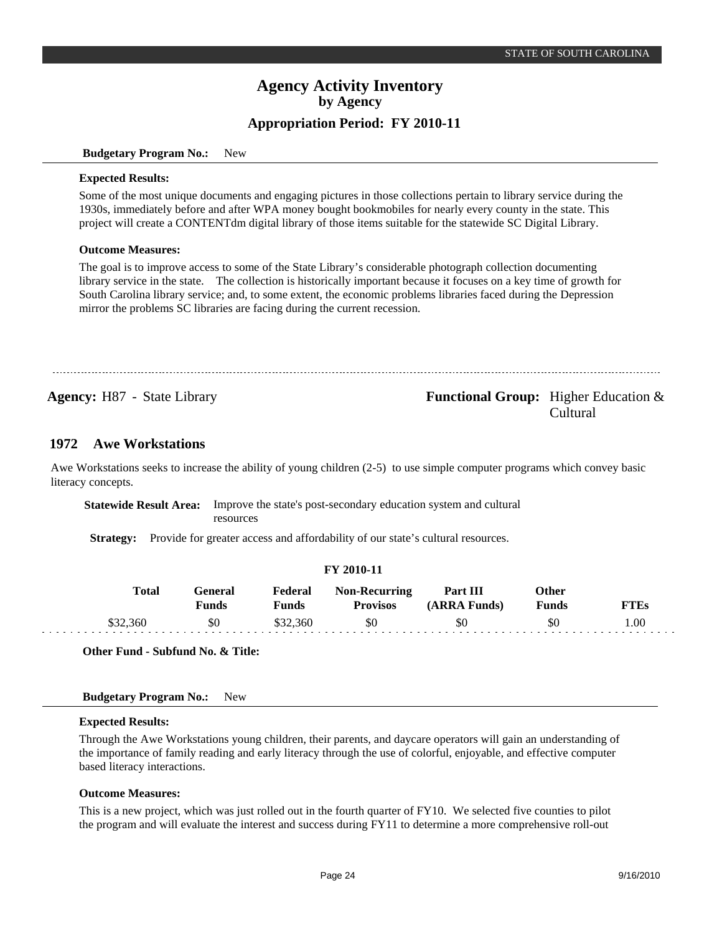#### **Budgetary Program No.:** New

#### **Expected Results:**

Some of the most unique documents and engaging pictures in those collections pertain to library service during the 1930s, immediately before and after WPA money bought bookmobiles for nearly every county in the state. This project will create a CONTENTdm digital library of those items suitable for the statewide SC Digital Library.

#### **Outcome Measures:**

The goal is to improve access to some of the State Library's considerable photograph collection documenting library service in the state. The collection is historically important because it focuses on a key time of growth for South Carolina library service; and, to some extent, the economic problems libraries faced during the Depression mirror the problems SC libraries are facing during the current recession.

## **Agency:** H87 - State Library **-** *Functional Group:* Higher Education & Cultural

#### **Awe Workstations 1972**

Awe Workstations seeks to increase the ability of young children (2-5) to use simple computer programs which convey basic literacy concepts.

**Statewide Result Area:** Improve the state's post-secondary education system and cultural resources

**Strategy:** Provide for greater access and affordability of our state's cultural resources.

|              |                         |                  | FY 2010-11                              |                          |                |             |
|--------------|-------------------------|------------------|-----------------------------------------|--------------------------|----------------|-------------|
| <b>Total</b> | General<br><b>Funds</b> | Federal<br>Funds | <b>Non-Recurring</b><br><b>Provisos</b> | Part III<br>(ARRA Funds) | Other<br>Funds | <b>FTEs</b> |
| \$32,360     | \$0                     | \$32,360         | \$0                                     | \$0                      | \$0            | .00         |

**Other Fund - Subfund No. & Title:**

#### **Budgetary Program No.:** New

#### **Expected Results:**

Through the Awe Workstations young children, their parents, and daycare operators will gain an understanding of the importance of family reading and early literacy through the use of colorful, enjoyable, and effective computer based literacy interactions.

#### **Outcome Measures:**

This is a new project, which was just rolled out in the fourth quarter of FY10. We selected five counties to pilot the program and will evaluate the interest and success during FY11 to determine a more comprehensive roll-out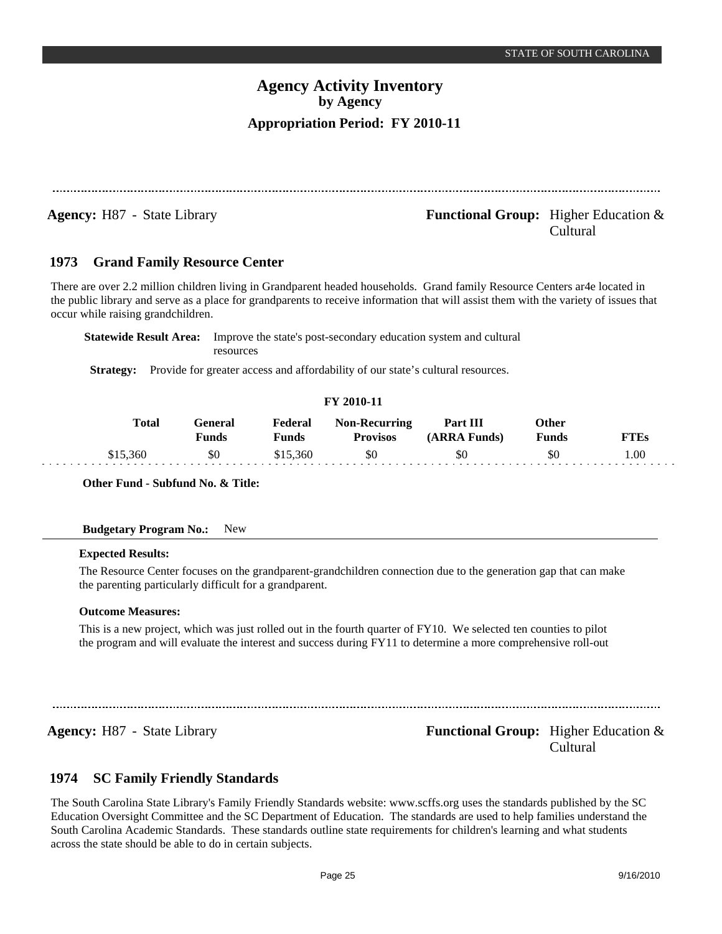**Agency:** H87 - State Library **- Agency: Functional Group:** Higher Education & Cultural

#### **Grand Family Resource Center 1973**

There are over 2.2 million children living in Grandparent headed households. Grand family Resource Centers ar4e located in the public library and serve as a place for grandparents to receive information that will assist them with the variety of issues that occur while raising grandchildren.

**Statewide Result Area:** Improve the state's post-secondary education system and cultural resources

**Strategy:** Provide for greater access and affordability of our state's cultural resources.

### **FY 2010-11**

| <b>Total</b> | General<br><b>Funds</b> | <b>Federal</b><br>Funds | <b>Non-Recurring</b><br><b>Provisos</b> | Part III<br>(ARRA Funds) | Other<br><b>Funds</b> | FTEs |
|--------------|-------------------------|-------------------------|-----------------------------------------|--------------------------|-----------------------|------|
| 360          | \$0                     | \$15,360                | \$0                                     | \$0                      | \$0                   | .00  |

**Other Fund - Subfund No. & Title:**

### **Budgetary Program No.:** New

### **Expected Results:**

The Resource Center focuses on the grandparent-grandchildren connection due to the generation gap that can make the parenting particularly difficult for a grandparent.

#### **Outcome Measures:**

This is a new project, which was just rolled out in the fourth quarter of FY10. We selected ten counties to pilot the program and will evaluate the interest and success during FY11 to determine a more comprehensive roll-out

## **Agency:** H87 - State Library **- Equal Functional Group:** Higher Education & Cultural

#### **SC Family Friendly Standards 1974**

The South Carolina State Library's Family Friendly Standards website: www.scffs.org uses the standards published by the SC Education Oversight Committee and the SC Department of Education. The standards are used to help families understand the South Carolina Academic Standards. These standards outline state requirements for children's learning and what students across the state should be able to do in certain subjects.